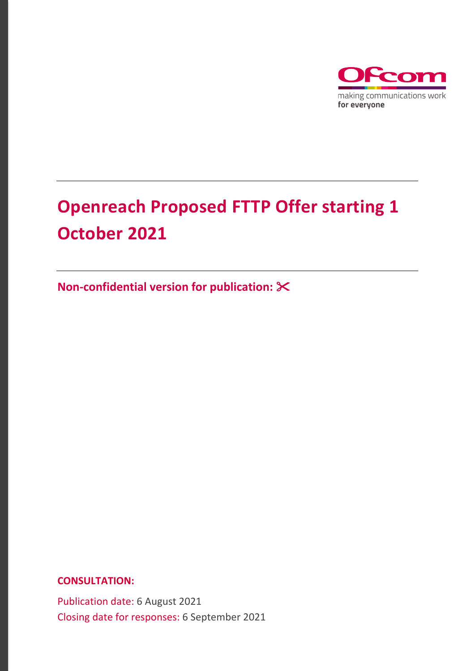

# **Openreach Proposed FTTP Offer starting 1 October 2021**

**Non-confidential version for publication:** 

**CONSULTATION:**

Publication date: 6 August 2021 Closing date for responses: 6 September 2021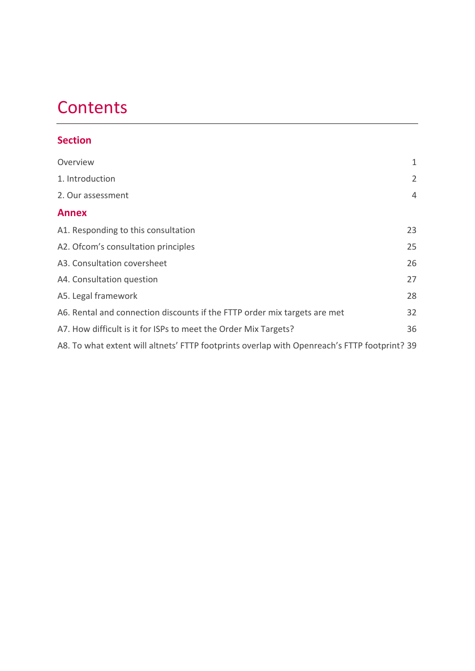# **Contents**

## **Section**

| Overview                                                                                     | 1  |  |  |
|----------------------------------------------------------------------------------------------|----|--|--|
| 1. Introduction                                                                              | 2  |  |  |
| 2. Our assessment                                                                            | 4  |  |  |
| <b>Annex</b>                                                                                 |    |  |  |
| A1. Responding to this consultation                                                          | 23 |  |  |
| A2. Ofcom's consultation principles                                                          | 25 |  |  |
| A3. Consultation coversheet                                                                  | 26 |  |  |
| A4. Consultation question                                                                    | 27 |  |  |
| A5. Legal framework                                                                          | 28 |  |  |
| A6. Rental and connection discounts if the FTTP order mix targets are met                    | 32 |  |  |
| A7. How difficult is it for ISPs to meet the Order Mix Targets?                              | 36 |  |  |
| A8. To what extent will altnets' FTTP footprints overlap with Openreach's FTTP footprint? 39 |    |  |  |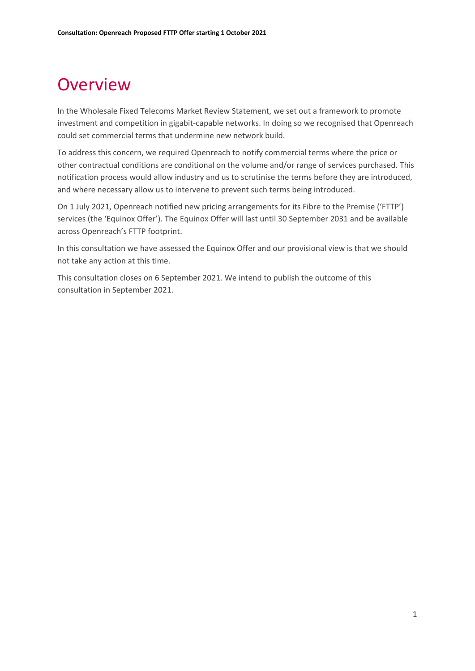# <span id="page-2-0"></span>**Overview**

In the Wholesale Fixed Telecoms Market Review Statement, we set out a framework to promote investment and competition in gigabit-capable networks. In doing so we recognised that Openreach could set commercial terms that undermine new network build.

To address this concern, we required Openreach to notify commercial terms where the price or other contractual conditions are conditional on the volume and/or range of services purchased. This notification process would allow industry and us to scrutinise the terms before they are introduced, and where necessary allow us to intervene to prevent such terms being introduced.

On 1 July 2021, Openreach notified new pricing arrangements for its Fibre to the Premise ('FTTP') services (the 'Equinox Offer'). The Equinox Offer will last until 30 September 2031 and be available across Openreach's FTTP footprint.

In this consultation we have assessed the Equinox Offer and our provisional view is that we should not take any action at this time.

This consultation closes on 6 September 2021. We intend to publish the outcome of this consultation in September 2021.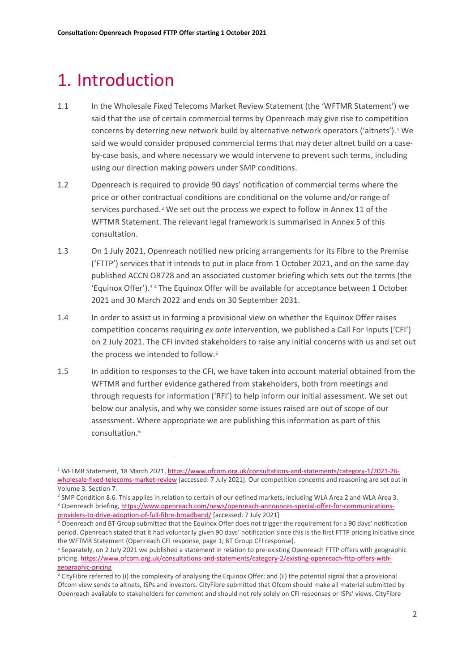# <span id="page-3-0"></span>1. Introduction

- 1.1 In the Wholesale Fixed Telecoms Market Review Statement (the 'WFTMR Statement') we said that the use of certain commercial terms by Openreach may give rise to competition concerns by deterring new network build by alternative network operators ('altnets').[1](#page-3-1) We said we would consider proposed commercial terms that may deter altnet build on a caseby-case basis, and where necessary we would intervene to prevent such terms, including using our direction making powers under SMP conditions.
- 1.2 Openreach is required to provide 90 days' notification of commercial terms where the price or other contractual conditions are conditional on the volume and/or range of services purchased.<sup>[2](#page-3-2)</sup> We set out the process we expect to follow in Annex 11 of the WFTMR Statement. The relevant legal framework is summarised in Annex 5 of this consultation.
- 1.3 On 1 July 2021, Openreach notified new pricing arrangements for its Fibre to the Premise ('FTTP') services that it intends to put in place from 1 October 2021, and on the same day published ACCN OR728 and an associated customer briefing which sets out the terms (the 'Equinox Offer').[3](#page-3-3) [4](#page-3-4) The Equinox Offer will be available for acceptance between 1 October 2021 and 30 March 2022 and ends on 30 September 2031.
- 1.4 In order to assist us in forming a provisional view on whether the Equinox Offer raises competition concerns requiring *ex ante* intervention, we published a Call For Inputs ('CFI') on 2 July 2021. The CFI invited stakeholders to raise any initial concerns with us and set out the process we intended to follow.<sup>[5](#page-3-5)</sup>
- 1.5 In addition to responses to the CFI, we have taken into account material obtained from the WFTMR and further evidence gathered from stakeholders, both from meetings and through requests for information ('RFI') to help inform our initial assessment. We set out below our analysis, and why we consider some issues raised are out of scope of our assessment. Where appropriate we are publishing this information as part of this consultation.<sup>[6](#page-3-6)</sup>

<span id="page-3-1"></span><sup>1</sup> WFTMR Statement, 18 March 2021[, https://www.ofcom.org.uk/consultations-and-statements/category-1/2021-26](https://www.ofcom.org.uk/consultations-and-statements/category-1/2021-26-wholesale-fixed-telecoms-market-review) [wholesale-fixed-telecoms-market-review](https://www.ofcom.org.uk/consultations-and-statements/category-1/2021-26-wholesale-fixed-telecoms-market-review) [accessed: 7 July 2021]. Our competition concerns and reasoning are set out in Volume 3, Section 7.

<span id="page-3-3"></span><span id="page-3-2"></span><sup>&</sup>lt;sup>2</sup> SMP Condition 8.6. This applies in relation to certain of our defined markets, including WLA Area 2 and WLA Area 3. <sup>3</sup> Openreach briefing, [https://www.openreach.com/news/openreach-announces-special-offer-for-communications](https://www.openreach.com/news/openreach-announces-special-offer-for-communications-providers-to-drive-adoption-of-full-fibre-broadband/)[providers-to-drive-adoption-of-full-fibre-broadband/](https://www.openreach.com/news/openreach-announces-special-offer-for-communications-providers-to-drive-adoption-of-full-fibre-broadband/) [accessed: 7 July 2021]

<span id="page-3-4"></span><sup>4</sup> Openreach and BT Group submitted that the Equinox Offer does not trigger the requirement for a 90 days' notification period. Openreach stated that it had voluntarily given 90 days' notification since this is the first FTTP pricing initiative since the WFTMR Statement (Openreach CFI response, page 1; BT Group CFI response).

<span id="page-3-5"></span><sup>5</sup> Separately, on 2 July 2021 we published a statement in relation to pre-existing Openreach FTTP offers with geographic pricing. [https://www.ofcom.org.uk/consultations-and-statements/category-2/existing-openreach-fttp-offers-with](https://www.ofcom.org.uk/consultations-and-statements/category-2/existing-openreach-fttp-offers-with-geographic-pricing)[geographic-pricing](https://www.ofcom.org.uk/consultations-and-statements/category-2/existing-openreach-fttp-offers-with-geographic-pricing)

<span id="page-3-6"></span> $6$  CityFibre referred to (i) the complexity of analysing the Equinox Offer; and (ii) the potential signal that a provisional Ofcom view sends to altnets, ISPs and investors. CityFibre submitted that Ofcom should make all material submitted by Openreach available to stakeholders for comment and should not rely solely on CFI responses or ISPs' views. CityFibre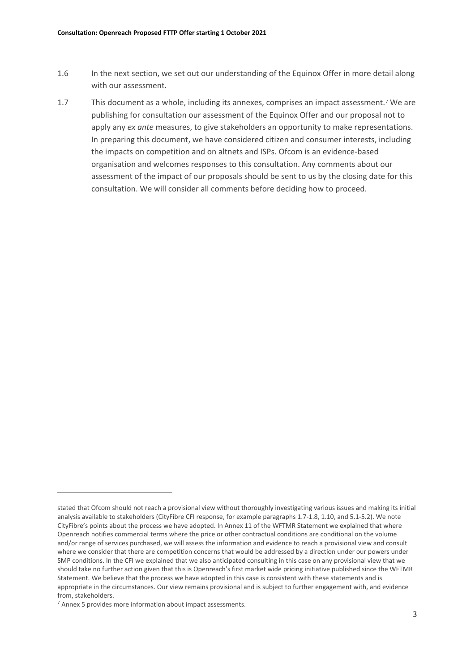- 1.6 In the next section, we set out our understanding of the Equinox Offer in more detail along with our assessment.
- 1.7 This document as a whole, including its annexes, comprises an impact assessment.[7](#page-4-0) We are publishing for consultation our assessment of the Equinox Offer and our proposal not to apply any *ex ante* measures, to give stakeholders an opportunity to make representations. In preparing this document, we have considered citizen and consumer interests, including the impacts on competition and on altnets and ISPs. Ofcom is an evidence-based organisation and welcomes responses to this consultation. Any comments about our assessment of the impact of our proposals should be sent to us by the closing date for this consultation. We will consider all comments before deciding how to proceed.

stated that Ofcom should not reach a provisional view without thoroughly investigating various issues and making its initial analysis available to stakeholders (CityFibre CFI response, for example paragraphs 1.7-1.8, 1.10, and 5.1-5.2). We note CityFibre's points about the process we have adopted. In Annex 11 of the WFTMR Statement we explained that where Openreach notifies commercial terms where the price or other contractual conditions are conditional on the volume and/or range of services purchased, we will assess the information and evidence to reach a provisional view and consult where we consider that there are competition concerns that would be addressed by a direction under our powers under SMP conditions. In the CFI we explained that we also anticipated consulting in this case on any provisional view that we should take no further action given that this is Openreach's first market wide pricing initiative published since the WFTMR Statement. We believe that the process we have adopted in this case is consistent with these statements and is appropriate in the circumstances. Our view remains provisional and is subject to further engagement with, and evidence from, stakeholders.

<span id="page-4-0"></span> $<sup>7</sup>$  Annex 5 provides more information about impact assessments.</sup>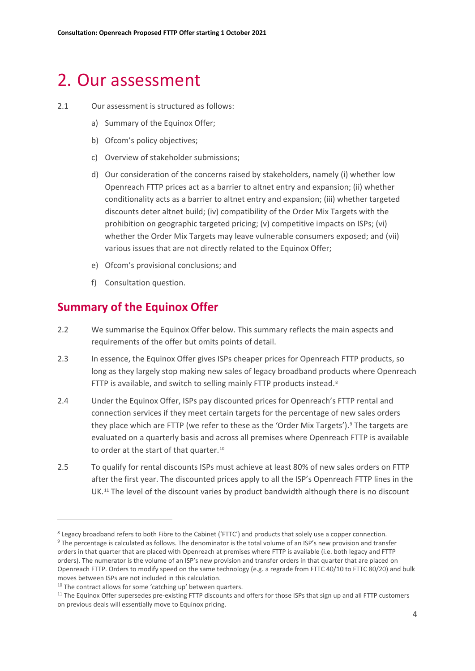# <span id="page-5-0"></span>2. Our assessment

#### 2.1 Our assessment is structured as follows:

- a) Summary of the Equinox Offer;
- b) Ofcom's policy objectives;
- c) Overview of stakeholder submissions;
- d) Our consideration of the concerns raised by stakeholders, namely (i) whether low Openreach FTTP prices act as a barrier to altnet entry and expansion; (ii) whether conditionality acts as a barrier to altnet entry and expansion; (iii) whether targeted discounts deter altnet build; (iv) compatibility of the Order Mix Targets with the prohibition on geographic targeted pricing; (v) competitive impacts on ISPs; (vi) whether the Order Mix Targets may leave vulnerable consumers exposed; and (vii) various issues that are not directly related to the Equinox Offer;
- e) Ofcom's provisional conclusions; and
- f) Consultation question.

## **Summary of the Equinox Offer**

- 2.2 We summarise the Equinox Offer below. This summary reflects the main aspects and requirements of the offer but omits points of detail.
- 2.3 In essence, the Equinox Offer gives ISPs cheaper prices for Openreach FTTP products, so long as they largely stop making new sales of legacy broadband products where Openreach FTTP is available, and switch to selling mainly FTTP products instead.<sup>[8](#page-5-1)</sup>
- 2.4 Under the Equinox Offer, ISPs pay discounted prices for Openreach's FTTP rental and connection services if they meet certain targets for the percentage of new sales orders they place which are FTTP (we refer to these as the 'Order Mix Targets').<sup>[9](#page-5-2)</sup> The targets are evaluated on a quarterly basis and across all premises where Openreach FTTP is available to order at the start of that quarter.<sup>[10](#page-5-3)</sup>
- 2.5 To qualify for rental discounts ISPs must achieve at least 80% of new sales orders on FTTP after the first year. The discounted prices apply to all the ISP's Openreach FTTP lines in the UK.[11](#page-5-4) The level of the discount varies by product bandwidth although there is no discount

<span id="page-5-2"></span><span id="page-5-1"></span><sup>&</sup>lt;sup>8</sup> Legacy broadband refers to both Fibre to the Cabinet ('FTTC') and products that solely use a copper connection. <sup>9</sup> The percentage is calculated as follows. The denominator is the total volume of an ISP's new provision and transfer orders in that quarter that are placed with Openreach at premises where FTTP is available (i.e. both legacy and FTTP orders). The numerator is the volume of an ISP's new provision and transfer orders in that quarter that are placed on Openreach FTTP. Orders to modify speed on the same technology (e.g. a regrade from FTTC 40/10 to FTTC 80/20) and bulk moves between ISPs are not included in this calculation.

<span id="page-5-3"></span><sup>&</sup>lt;sup>10</sup> The contract allows for some 'catching up' between quarters.

<span id="page-5-4"></span><sup>&</sup>lt;sup>11</sup> The Equinox Offer supersedes pre-existing FTTP discounts and offers for those ISPs that sign up and all FTTP customers on previous deals will essentially move to Equinox pricing.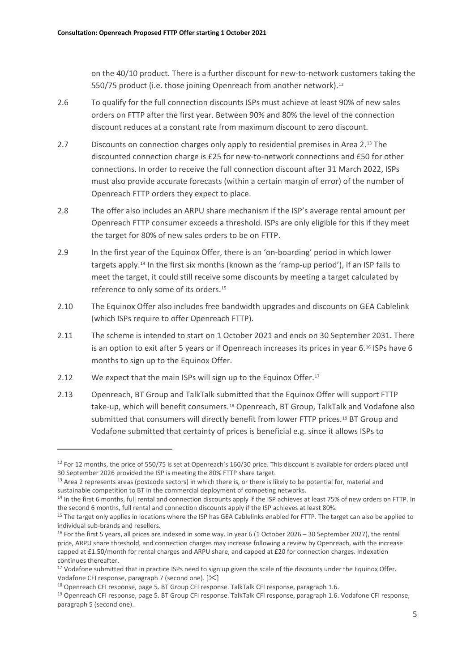on the 40/10 product. There is a further discount for new-to-network customers taking the 550/75 product (i.e. those joining Openreach from another network).<sup>[12](#page-6-0)</sup>

- 2.6 To qualify for the full connection discounts ISPs must achieve at least 90% of new sales orders on FTTP after the first year. Between 90% and 80% the level of the connection discount reduces at a constant rate from maximum discount to zero discount.
- 2.7 Discounts on connection charges only apply to residential premises in Area 2.[13](#page-6-1) The discounted connection charge is £25 for new-to-network connections and £50 for other connections. In order to receive the full connection discount after 31 March 2022, ISPs must also provide accurate forecasts (within a certain margin of error) of the number of Openreach FTTP orders they expect to place.
- 2.8 The offer also includes an ARPU share mechanism if the ISP's average rental amount per Openreach FTTP consumer exceeds a threshold. ISPs are only eligible for this if they meet the target for 80% of new sales orders to be on FTTP.
- 2.9 In the first year of the Equinox Offer, there is an 'on-boarding' period in which lower targets apply.[14](#page-6-2) In the first six months (known as the 'ramp-up period'), if an ISP fails to meet the target, it could still receive some discounts by meeting a target calculated by reference to only some of its orders.[15](#page-6-3)
- 2.10 The Equinox Offer also includes free bandwidth upgrades and discounts on GEA Cablelink (which ISPs require to offer Openreach FTTP).
- 2.11 The scheme is intended to start on 1 October 2021 and ends on 30 September 2031. There is an option to exit after 5 years or if Openreach increases its prices in year 6.[16](#page-6-4) ISPs have 6 months to sign up to the Equinox Offer.
- 2.12 We expect that the main ISPs will sign up to the Equinox Offer.<sup>[17](#page-6-5)</sup>
- 2.13 Openreach, BT Group and TalkTalk submitted that the Equinox Offer will support FTTP take-up, which will benefit consumers.[18](#page-6-6) Openreach, BT Group, TalkTalk and Vodafone also submitted that consumers will directly benefit from lower FTTP prices.[19](#page-6-7) BT Group and Vodafone submitted that certainty of prices is beneficial e.g. since it allows ISPs to

<span id="page-6-0"></span><sup>&</sup>lt;sup>12</sup> For 12 months, the price of 550/75 is set at Openreach's 160/30 price. This discount is available for orders placed until 30 September 2026 provided the ISP is meeting the 80% FTTP share target.

<span id="page-6-1"></span><sup>&</sup>lt;sup>13</sup> Area 2 represents areas (postcode sectors) in which there is, or there is likely to be potential for, material and sustainable competition to BT in the commercial deployment of competing networks.

<span id="page-6-2"></span><sup>&</sup>lt;sup>14</sup> In the first 6 months, full rental and connection discounts apply if the ISP achieves at least 75% of new orders on FTTP. In the second 6 months, full rental and connection discounts apply if the ISP achieves at least 80%.

<span id="page-6-3"></span><sup>&</sup>lt;sup>15</sup> The target only applies in locations where the ISP has GEA Cablelinks enabled for FTTP. The target can also be applied to individual sub-brands and resellers.

<span id="page-6-4"></span><sup>&</sup>lt;sup>16</sup> For the first 5 years, all prices are indexed in some way. In year 6 (1 October 2026 – 30 September 2027), the rental price, ARPU share threshold, and connection charges may increase following a review by Openreach, with the increase capped at £1.50/month for rental charges and ARPU share, and capped at £20 for connection charges. Indexation continues thereafter.

<span id="page-6-5"></span><sup>&</sup>lt;sup>17</sup> Vodafone submitted that in practice ISPs need to sign up given the scale of the discounts under the Equinox Offer. Vodafone CFI response, paragraph 7 (second one). [ $\ll$ ]

<span id="page-6-6"></span><sup>&</sup>lt;sup>18</sup> Openreach CFI response, page 5. BT Group CFI response. TalkTalk CFI response, paragraph 1.6.

<span id="page-6-7"></span><sup>19</sup> Openreach CFI response, page 5. BT Group CFI response. TalkTalk CFI response, paragraph 1.6. Vodafone CFI response, paragraph 5 (second one).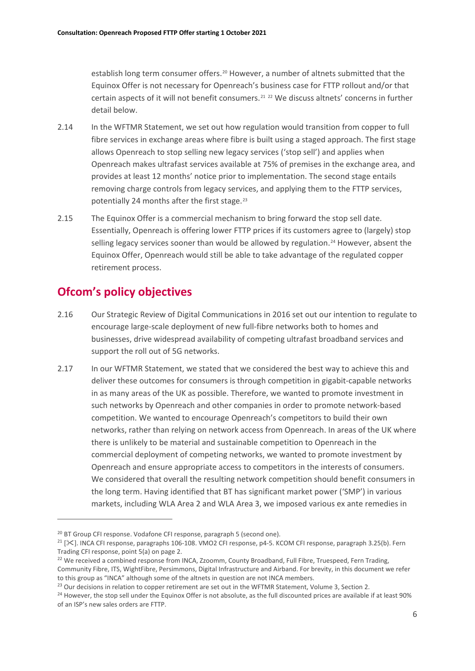establish long term consumer offers.[20](#page-7-0) However, a number of altnets submitted that the Equinox Offer is not necessary for Openreach's business case for FTTP rollout and/or that certain aspects of it will not benefit consumers.[21](#page-7-1) [22](#page-7-2) We discuss altnets' concerns in further detail below.

- 2.14 In the WFTMR Statement, we set out how regulation would transition from copper to full fibre services in exchange areas where fibre is built using a staged approach. The first stage allows Openreach to stop selling new legacy services ('stop sell') and applies when Openreach makes ultrafast services available at 75% of premises in the exchange area, and provides at least 12 months' notice prior to implementation. The second stage entails removing charge controls from legacy services, and applying them to the FTTP services, potentially 24 months after the first stage.<sup>[23](#page-7-3)</sup>
- 2.15 The Equinox Offer is a commercial mechanism to bring forward the stop sell date. Essentially, Openreach is offering lower FTTP prices if its customers agree to (largely) stop selling legacy services sooner than would be allowed by regulation.<sup>[24](#page-7-4)</sup> However, absent the Equinox Offer, Openreach would still be able to take advantage of the regulated copper retirement process.

# **Ofcom's policy objectives**

- 2.16 Our Strategic Review of Digital Communications in 2016 set out our intention to regulate to encourage large-scale deployment of new full-fibre networks both to homes and businesses, drive widespread availability of competing ultrafast broadband services and support the roll out of 5G networks.
- 2.17 In our WFTMR Statement, we stated that we considered the best way to achieve this and deliver these outcomes for consumers is through competition in gigabit-capable networks in as many areas of the UK as possible. Therefore, we wanted to promote investment in such networks by Openreach and other companies in order to promote network-based competition. We wanted to encourage Openreach's competitors to build their own networks, rather than relying on network access from Openreach. In areas of the UK where there is unlikely to be material and sustainable competition to Openreach in the commercial deployment of competing networks, we wanted to promote investment by Openreach and ensure appropriate access to competitors in the interests of consumers. We considered that overall the resulting network competition should benefit consumers in the long term. Having identified that BT has significant market power ('SMP') in various markets, including WLA Area 2 and WLA Area 3, we imposed various ex ante remedies in

<span id="page-7-0"></span><sup>&</sup>lt;sup>20</sup> BT Group CFI response. Vodafone CFI response, paragraph 5 (second one).

<span id="page-7-1"></span><sup>&</sup>lt;sup>21</sup> [ $\geq$ ]. INCA CFI response, paragraphs 106-108. VMO2 CFI response, p4-5. KCOM CFI response, paragraph 3.25(b). Fern Trading CFI response, point 5(a) on page 2.

<span id="page-7-2"></span><sup>&</sup>lt;sup>22</sup> We received a combined response from INCA, Zzoomm, County Broadband, Full Fibre, Truespeed, Fern Trading, Community Fibre, ITS, WightFibre, Persimmons, Digital Infrastructure and Airband. For brevity, in this document we refer to this group as "INCA" although some of the altnets in question are not INCA members.

<span id="page-7-3"></span><sup>&</sup>lt;sup>23</sup> Our decisions in relation to copper retirement are set out in the WFTMR Statement, Volume 3, Section 2.

<span id="page-7-4"></span><sup>&</sup>lt;sup>24</sup> However, the stop sell under the Equinox Offer is not absolute, as the full discounted prices are available if at least 90% of an ISP's new sales orders are FTTP.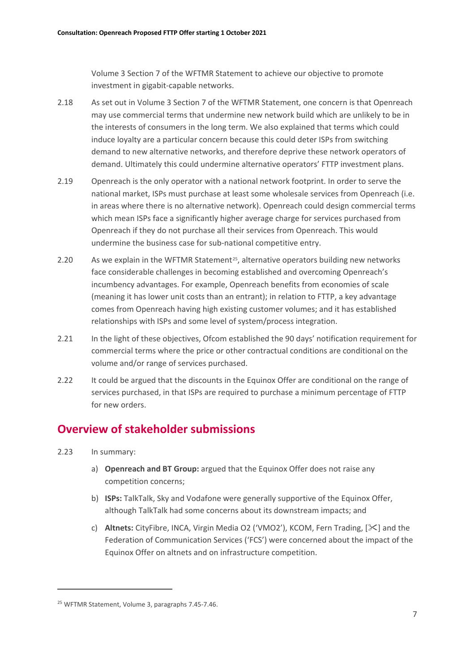Volume 3 Section 7 of the WFTMR Statement to achieve our objective to promote investment in gigabit-capable networks.

- 2.18 As set out in Volume 3 Section 7 of the WFTMR Statement, one concern is that Openreach may use commercial terms that undermine new network build which are unlikely to be in the interests of consumers in the long term. We also explained that terms which could induce loyalty are a particular concern because this could deter ISPs from switching demand to new alternative networks, and therefore deprive these network operators of demand. Ultimately this could undermine alternative operators' FTTP investment plans.
- 2.19 Openreach is the only operator with a national network footprint. In order to serve the national market, ISPs must purchase at least some wholesale services from Openreach (i.e. in areas where there is no alternative network). Openreach could design commercial terms which mean ISPs face a significantly higher average charge for services purchased from Openreach if they do not purchase all their services from Openreach. This would undermine the business case for sub-national competitive entry.
- 2.20 As we explain in the WFTMR Statement<sup>25</sup>, alternative operators building new networks face considerable challenges in becoming established and overcoming Openreach's incumbency advantages. For example, Openreach benefits from economies of scale (meaning it has lower unit costs than an entrant); in relation to FTTP, a key advantage comes from Openreach having high existing customer volumes; and it has established relationships with ISPs and some level of system/process integration.
- 2.21 In the light of these objectives, Ofcom established the 90 days' notification requirement for commercial terms where the price or other contractual conditions are conditional on the volume and/or range of services purchased.
- 2.22 It could be argued that the discounts in the Equinox Offer are conditional on the range of services purchased, in that ISPs are required to purchase a minimum percentage of FTTP for new orders.

# **Overview of stakeholder submissions**

- 2.23 In summary:
	- a) **Openreach and BT Group:** argued that the Equinox Offer does not raise any competition concerns;
	- b) **ISPs:** TalkTalk, Sky and Vodafone were generally supportive of the Equinox Offer, although TalkTalk had some concerns about its downstream impacts; and
	- c) **Altnets:** CityFibre, INCA, Virgin Media O2 ('VMO2'), KCOM, Fern Trading, [ $\ge$ ] and the Federation of Communication Services ('FCS') were concerned about the impact of the Equinox Offer on altnets and on infrastructure competition.

<span id="page-8-0"></span><sup>25</sup> WFTMR Statement, Volume 3, paragraphs 7.45-7.46.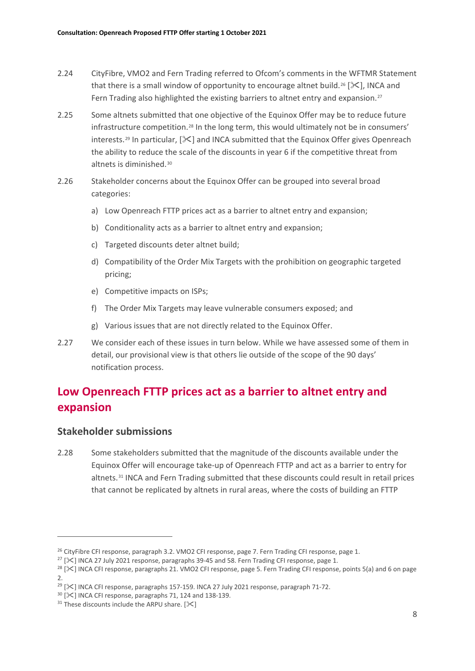- 2.24 CityFibre, VMO2 and Fern Trading referred to Ofcom's comments in the WFTMR Statement that there is a small window of opportunity to encourage altnet build.<sup>[26](#page-9-0)</sup> [ $\ll$ ], INCA and Fern Trading also highlighted the existing barriers to altnet entry and expansion.<sup>[27](#page-9-1)</sup>
- 2.25 Some altnets submitted that one objective of the Equinox Offer may be to reduce future infrastructure competition.[28](#page-9-2) In the long term, this would ultimately not be in consumers' interests.<sup>[29](#page-9-3)</sup> In particular,  $[\<]$  and INCA submitted that the Equinox Offer gives Openreach the ability to reduce the scale of the discounts in year 6 if the competitive threat from altnets is diminished.[30](#page-9-4)
- 2.26 Stakeholder concerns about the Equinox Offer can be grouped into several broad categories:
	- a) Low Openreach FTTP prices act as a barrier to altnet entry and expansion;
	- b) Conditionality acts as a barrier to altnet entry and expansion;
	- c) Targeted discounts deter altnet build;
	- d) Compatibility of the Order Mix Targets with the prohibition on geographic targeted pricing;
	- e) Competitive impacts on ISPs;
	- f) The Order Mix Targets may leave vulnerable consumers exposed; and
	- g) Various issues that are not directly related to the Equinox Offer.
- 2.27 We consider each of these issues in turn below. While we have assessed some of them in detail, our provisional view is that others lie outside of the scope of the 90 days' notification process.

# **Low Openreach FTTP prices act as a barrier to altnet entry and expansion**

### **Stakeholder submissions**

2.28 Some stakeholders submitted that the magnitude of the discounts available under the Equinox Offer will encourage take-up of Openreach FTTP and act as a barrier to entry for altnets.<sup>[31](#page-9-5)</sup> INCA and Fern Trading submitted that these discounts could result in retail prices that cannot be replicated by altnets in rural areas, where the costs of building an FTTP

<span id="page-9-0"></span>

<span id="page-9-2"></span><span id="page-9-1"></span>

<sup>&</sup>lt;sup>26</sup> CityFibre CFI response, paragraph 3.2. VMO2 CFI response, page 7. Fern Trading CFI response, page 1.<br><sup>27</sup> [ $\leq$ ] INCA 27 July 2021 response, paragraphs 39-45 and 58. Fern Trading CFI response, page 1.<br><sup>28</sup> [ $\leq$ ] I  $2.2$ 

<span id="page-9-3"></span><sup>&</sup>lt;sup>29</sup> [ $\geq$ ] INCA CFI response, paragraphs 157-159. INCA 27 July 2021 response, paragraph 71-72.<br><sup>30</sup> [ $\geq$ ] INCA CFI response, paragraphs 71, 124 and 138-139.<br><sup>31</sup> These discounts include the ARPU share. [ $\geq$ ]

<span id="page-9-4"></span>

<span id="page-9-5"></span>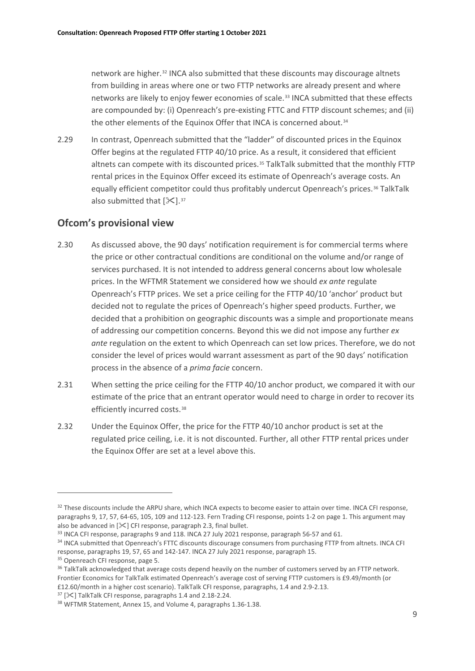network are higher.[32](#page-10-0) INCA also submitted that these discounts may discourage altnets from building in areas where one or two FTTP networks are already present and where networks are likely to enjoy fewer economies of scale.[33](#page-10-1) INCA submitted that these effects are compounded by: (i) Openreach's pre-existing FTTC and FTTP discount schemes; and (ii) the other elements of the Equinox Offer that INCA is concerned about.<sup>[34](#page-10-2)</sup>

2.29 In contrast, Openreach submitted that the "ladder" of discounted prices in the Equinox Offer begins at the regulated FTTP 40/10 price. As a result, it considered that efficient altnets can compete with its discounted prices.<sup>[35](#page-10-3)</sup> TalkTalk submitted that the monthly FTTP rental prices in the Equinox Offer exceed its estimate of Openreach's average costs. An equally efficient competitor could thus profitably undercut Openreach's prices.<sup>[36](#page-10-4)</sup> TalkTalk also submitted that  $[\mathcal{K}]$ .<sup>[37](#page-10-5)</sup>

### **Ofcom's provisional view**

- 2.30 As discussed above, the 90 days' notification requirement is for commercial terms where the price or other contractual conditions are conditional on the volume and/or range of services purchased. It is not intended to address general concerns about low wholesale prices. In the WFTMR Statement we considered how we should *ex ante* regulate Openreach's FTTP prices. We set a price ceiling for the FTTP 40/10 'anchor' product but decided not to regulate the prices of Openreach's higher speed products. Further, we decided that a prohibition on geographic discounts was a simple and proportionate means of addressing our competition concerns. Beyond this we did not impose any further *ex ante* regulation on the extent to which Openreach can set low prices. Therefore, we do not consider the level of prices would warrant assessment as part of the 90 days' notification process in the absence of a *prima facie* concern.
- 2.31 When setting the price ceiling for the FTTP 40/10 anchor product, we compared it with our estimate of the price that an entrant operator would need to charge in order to recover its efficiently incurred costs.<sup>[38](#page-10-6)</sup>
- 2.32 Under the Equinox Offer, the price for the FTTP 40/10 anchor product is set at the regulated price ceiling, i.e. it is not discounted. Further, all other FTTP rental prices under the Equinox Offer are set at a level above this.

<span id="page-10-0"></span><sup>&</sup>lt;sup>32</sup> These discounts include the ARPU share, which INCA expects to become easier to attain over time. INCA CFI response, paragraphs 9, 17, 57, 64-65, 105, 109 and 112-123. Fern Trading CFI response, points 1-2 on page 1. This argument may also be advanced in  $[\&]$  CFI response, paragraph 2.3, final bullet.<br><sup>33</sup> INCA CFI response, paragraphs 9 and 118. INCA 27 July 2021 response, paragraph 56-57 and 61.

<span id="page-10-2"></span><span id="page-10-1"></span><sup>34</sup> INCA submitted that Openreach's FTTC discounts discourage consumers from purchasing FTTP from altnets. INCA CFI response, paragraphs 19, 57, 65 and 142-147. INCA 27 July 2021 response, paragraph 15.

<span id="page-10-3"></span><sup>&</sup>lt;sup>35</sup> Openreach CFI response, page 5.

<span id="page-10-4"></span><sup>&</sup>lt;sup>36</sup> TalkTalk acknowledged that average costs depend heavily on the number of customers served by an FTTP network. Frontier Economics for TalkTalk estimated Openreach's average cost of serving FTTP customers is £9.49/month (or £12.60/month in a higher cost scenario). TalkTalk CFI response, paragraphs, 1.4 and 2.9-2.13.

<span id="page-10-5"></span> $37$  [ $\mathbb{\times}$ ] TalkTalk CFI response, paragraphs 1.4 and 2.18-2.24.

<span id="page-10-6"></span><sup>38</sup> WFTMR Statement, Annex 15, and Volume 4, paragraphs 1.36-1.38.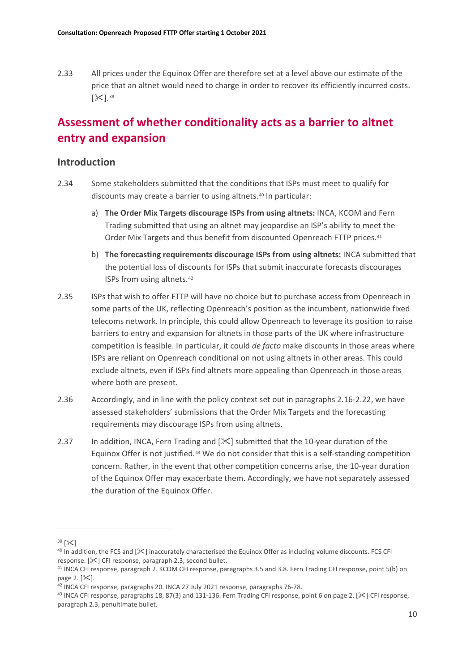2.33 All prices under the Equinox Offer are therefore set at a level above our estimate of the price that an altnet would need to charge in order to recover its efficiently incurred costs.  $[\mathcal{K}]$ . [39](#page-11-0)

# **Assessment of whether conditionality acts as a barrier to altnet entry and expansion**

#### **Introduction**

- 2.34 Some stakeholders submitted that the conditions that ISPs must meet to qualify for discounts may create a barrier to using altnets.<sup>[40](#page-11-1)</sup> In particular:
	- a) **The Order Mix Targets discourage ISPs from using altnets:** INCA, KCOM and Fern Trading submitted that using an altnet may jeopardise an ISP's ability to meet the Order Mix Targets and thus benefit from discounted Openreach FTTP prices.<sup>[41](#page-11-2)</sup>
	- b) **The forecasting requirements discourage ISPs from using altnets:** INCA submitted that the potential loss of discounts for ISPs that submit inaccurate forecasts discourages ISPs from using altnets.[42](#page-11-3)
- 2.35 ISPs that wish to offer FTTP will have no choice but to purchase access from Openreach in some parts of the UK, reflecting Openreach's position as the incumbent, nationwide fixed telecoms network. In principle, this could allow Openreach to leverage its position to raise barriers to entry and expansion for altnets in those parts of the UK where infrastructure competition is feasible. In particular, it could *de facto* make discounts in those areas where ISPs are reliant on Openreach conditional on not using altnets in other areas. This could exclude altnets, even if ISPs find altnets more appealing than Openreach in those areas where both are present.
- 2.36 Accordingly, and in line with the policy context set out in paragraphs 2.16-2.22, we have assessed stakeholders' submissions that the Order Mix Targets and the forecasting requirements may discourage ISPs from using altnets.
- 2.37 In addition, INCA, Fern Trading and  $[\frac{1}{2}]$  submitted that the 10-year duration of the Equinox Offer is not justified.[43](#page-11-4) We do not consider that this is a self-standing competition concern. Rather, in the event that other competition concerns arise, the 10-year duration of the Equinox Offer may exacerbate them. Accordingly, we have not separately assessed the duration of the Equinox Offer.

<span id="page-11-0"></span> $39$   $[\times]$ 

<span id="page-11-1"></span> $40$  In addition, the FCS and  $[\&$  inaccurately characterised the Equinox Offer as including volume discounts. FCS CFI response. [ $\ll$ ] CFI response, paragraph 2.3, second bullet.

<span id="page-11-2"></span><sup>41</sup> INCA CFI response, paragraph 2. KCOM CFI response, paragraphs 3.5 and 3.8. Fern Trading CFI response, point 5(b) on page 2.  $[\times]$ .

<span id="page-11-3"></span><sup>&</sup>lt;sup>42</sup> INCA CFI response, paragraphs 20. INCA 27 July 2021 response, paragraphs 76-78.

<span id="page-11-4"></span><sup>&</sup>lt;sup>43</sup> INCA CFI response, paragraphs 18, 87(3) and 131-136. Fern Trading CFI response, point 6 on page 2. [ $\ll$ ] CFI response, paragraph 2.3, penultimate bullet.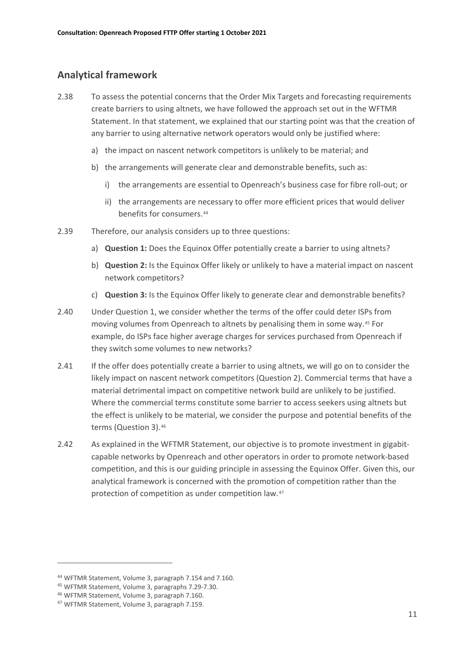### **Analytical framework**

- 2.38 To assess the potential concerns that the Order Mix Targets and forecasting requirements create barriers to using altnets, we have followed the approach set out in the WFTMR Statement. In that statement, we explained that our starting point was that the creation of any barrier to using alternative network operators would only be justified where:
	- a) the impact on nascent network competitors is unlikely to be material; and
	- b) the arrangements will generate clear and demonstrable benefits, such as:
		- i) the arrangements are essential to Openreach's business case for fibre roll-out; or
		- ii) the arrangements are necessary to offer more efficient prices that would deliver benefits for consumers.<sup>[44](#page-12-0)</sup>
- 2.39 Therefore, our analysis considers up to three questions:
	- a) **Question 1:** Does the Equinox Offer potentially create a barrier to using altnets?
	- b) **Question 2:** Is the Equinox Offer likely or unlikely to have a material impact on nascent network competitors?
	- c) **Question 3:** Is the Equinox Offer likely to generate clear and demonstrable benefits?
- 2.40 Under Question 1, we consider whether the terms of the offer could deter ISPs from moving volumes from Openreach to altnets by penalising them in some way.[45](#page-12-1) For example, do ISPs face higher average charges for services purchased from Openreach if they switch some volumes to new networks?
- 2.41 If the offer does potentially create a barrier to using altnets, we will go on to consider the likely impact on nascent network competitors (Question 2). Commercial terms that have a material detrimental impact on competitive network build are unlikely to be justified. Where the commercial terms constitute some barrier to access seekers using altnets but the effect is unlikely to be material, we consider the purpose and potential benefits of the terms (Question 3).[46](#page-12-2)
- 2.42 As explained in the WFTMR Statement, our objective is to promote investment in gigabitcapable networks by Openreach and other operators in order to promote network-based competition, and this is our guiding principle in assessing the Equinox Offer. Given this, our analytical framework is concerned with the promotion of competition rather than the protection of competition as under competition law.[47](#page-12-3)

<span id="page-12-0"></span><sup>44</sup> WFTMR Statement, Volume 3, paragraph 7.154 and 7.160.

<span id="page-12-2"></span><span id="page-12-1"></span><sup>45</sup> WFTMR Statement, Volume 3, paragraphs 7.29-7.30.

<sup>46</sup> WFTMR Statement, Volume 3, paragraph 7.160.

<span id="page-12-3"></span><sup>47</sup> WFTMR Statement, Volume 3, paragraph 7.159.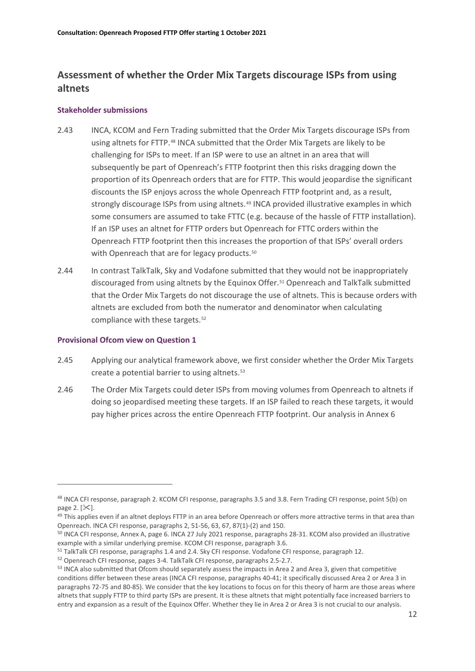## **Assessment of whether the Order Mix Targets discourage ISPs from using altnets**

#### **Stakeholder submissions**

- 2.43 INCA, KCOM and Fern Trading submitted that the Order Mix Targets discourage ISPs from using altnets for FTTP.[48](#page-13-0) INCA submitted that the Order Mix Targets are likely to be challenging for ISPs to meet. If an ISP were to use an altnet in an area that will subsequently be part of Openreach's FTTP footprint then this risks dragging down the proportion of its Openreach orders that are for FTTP. This would jeopardise the significant discounts the ISP enjoys across the whole Openreach FTTP footprint and, as a result, strongly discourage ISPs from using altnets.<sup>[49](#page-13-1)</sup> INCA provided illustrative examples in which some consumers are assumed to take FTTC (e.g. because of the hassle of FTTP installation). If an ISP uses an altnet for FTTP orders but Openreach for FTTC orders within the Openreach FTTP footprint then this increases the proportion of that ISPs' overall orders with Openreach that are for legacy products.<sup>[50](#page-13-2)</sup>
- 2.44 In contrast TalkTalk, Sky and Vodafone submitted that they would not be inappropriately discouraged from using altnets by the Equinox Offer.<sup>[51](#page-13-3)</sup> Openreach and TalkTalk submitted that the Order Mix Targets do not discourage the use of altnets. This is because orders with altnets are excluded from both the numerator and denominator when calculating compliance with these targets.[52](#page-13-4)

#### **Provisional Ofcom view on Question 1**

- 2.45 Applying our analytical framework above, we first consider whether the Order Mix Targets create a potential barrier to using altnets.[53](#page-13-5)
- 2.46 The Order Mix Targets could deter ISPs from moving volumes from Openreach to altnets if doing so jeopardised meeting these targets. If an ISP failed to reach these targets, it would pay higher prices across the entire Openreach FTTP footprint. Our analysis in Annex 6

<span id="page-13-0"></span><sup>48</sup> INCA CFI response, paragraph 2. KCOM CFI response, paragraphs 3.5 and 3.8. Fern Trading CFI response, point 5(b) on page 2.  $[\times]$ .

<span id="page-13-1"></span><sup>&</sup>lt;sup>49</sup> This applies even if an altnet deploys FTTP in an area before Openreach or offers more attractive terms in that area than

<span id="page-13-2"></span>Openreach. INCA CFI response, paragraphs 2, 51-56, 63, 67, 87(1)-(2) and 150.<br><sup>50</sup> INCA CFI response, Annex A, page 6. INCA 27 July 2021 response, paragraphs 28-31. KCOM also provided an illustrative example with a similar underlying premise. KCOM CFI response, paragraph 3.6.

<span id="page-13-4"></span><span id="page-13-3"></span><sup>&</sup>lt;sup>51</sup> TalkTalk CFI response, paragraphs 1.4 and 2.4. Sky CFI response. Vodafone CFI response, paragraph 12.<br><sup>52</sup> Openreach CFI response, pages 3-4. TalkTalk CFI response, paragraphs 2.5-2.7.

<span id="page-13-5"></span><sup>53</sup> INCA also submitted that Ofcom should separately assess the impacts in Area 2 and Area 3, given that competitive conditions differ between these areas (INCA CFI response, paragraphs 40-41; it specifically discussed Area 2 or Area 3 in paragraphs 72-75 and 80-85). We consider that the key locations to focus on for this theory of harm are those areas where altnets that supply FTTP to third party ISPs are present. It is these altnets that might potentially face increased barriers to entry and expansion as a result of the Equinox Offer. Whether they lie in Area 2 or Area 3 is not crucial to our analysis.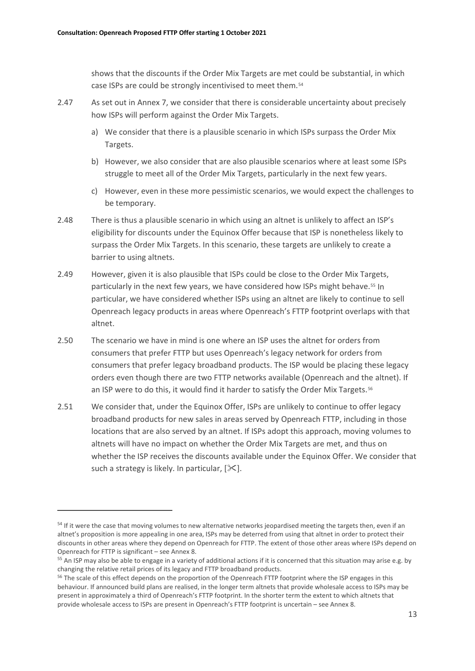shows that the discounts if the Order Mix Targets are met could be substantial, in which case ISPs are could be strongly incentivised to meet them.[54](#page-14-0)

- 2.47 As set out in Annex 7, we consider that there is considerable uncertainty about precisely how ISPs will perform against the Order Mix Targets.
	- a) We consider that there is a plausible scenario in which ISPs surpass the Order Mix Targets.
	- b) However, we also consider that are also plausible scenarios where at least some ISPs struggle to meet all of the Order Mix Targets, particularly in the next few years.
	- c) However, even in these more pessimistic scenarios, we would expect the challenges to be temporary.
- 2.48 There is thus a plausible scenario in which using an altnet is unlikely to affect an ISP's eligibility for discounts under the Equinox Offer because that ISP is nonetheless likely to surpass the Order Mix Targets. In this scenario, these targets are unlikely to create a barrier to using altnets.
- 2.49 However, given it is also plausible that ISPs could be close to the Order Mix Targets, particularly in the next few years, we have considered how ISPs might behave.<sup>[55](#page-14-1)</sup> In particular, we have considered whether ISPs using an altnet are likely to continue to sell Openreach legacy products in areas where Openreach's FTTP footprint overlaps with that altnet.
- 2.50 The scenario we have in mind is one where an ISP uses the altnet for orders from consumers that prefer FTTP but uses Openreach's legacy network for orders from consumers that prefer legacy broadband products. The ISP would be placing these legacy orders even though there are two FTTP networks available (Openreach and the altnet). If an ISP were to do this, it would find it harder to satisfy the Order Mix Targets.<sup>[56](#page-14-2)</sup>
- 2.51 We consider that, under the Equinox Offer, ISPs are unlikely to continue to offer legacy broadband products for new sales in areas served by Openreach FTTP, including in those locations that are also served by an altnet. If ISPs adopt this approach, moving volumes to altnets will have no impact on whether the Order Mix Targets are met, and thus on whether the ISP receives the discounts available under the Equinox Offer. We consider that such a strategy is likely. In particular,  $[\times]$ .

<span id="page-14-0"></span><sup>&</sup>lt;sup>54</sup> If it were the case that moving volumes to new alternative networks jeopardised meeting the targets then, even if an altnet's proposition is more appealing in one area, ISPs may be deterred from using that altnet in order to protect their discounts in other areas where they depend on Openreach for FTTP. The extent of those other areas where ISPs depend on Openreach for FTTP is significant – see Annex 8.

<span id="page-14-1"></span><sup>&</sup>lt;sup>55</sup> An ISP may also be able to engage in a variety of additional actions if it is concerned that this situation may arise e.g. by changing the relative retail prices of its legacy and FTTP broadband products.

<span id="page-14-2"></span><sup>&</sup>lt;sup>56</sup> The scale of this effect depends on the proportion of the Openreach FTTP footprint where the ISP engages in this behaviour. If announced build plans are realised, in the longer term altnets that provide wholesale access to ISPs may be present in approximately a third of Openreach's FTTP footprint. In the shorter term the extent to which altnets that provide wholesale access to ISPs are present in Openreach's FTTP footprint is uncertain – see Annex 8.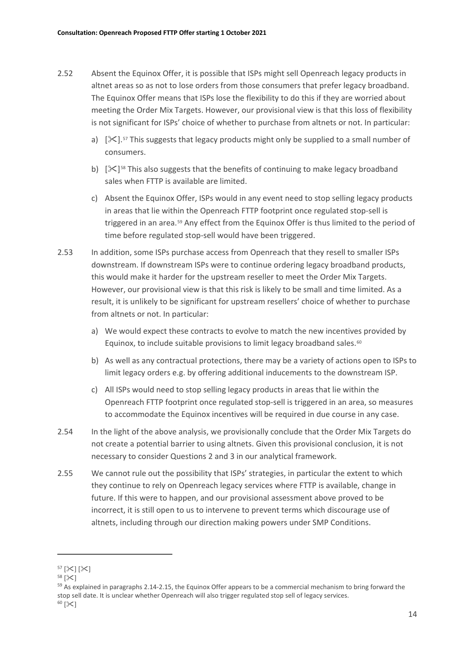- 2.52 Absent the Equinox Offer, it is possible that ISPs might sell Openreach legacy products in altnet areas so as not to lose orders from those consumers that prefer legacy broadband. The Equinox Offer means that ISPs lose the flexibility to do this if they are worried about meeting the Order Mix Targets. However, our provisional view is that this loss of flexibility is not significant for ISPs' choice of whether to purchase from altnets or not. In particular:
	- a)  $[\frac{1}{2}$ . [57](#page-15-0) This suggests that legacy products might only be supplied to a small number of consumers.
	- b)  $[\mathcal{K}]^{58}$  $[\mathcal{K}]^{58}$  $[\mathcal{K}]^{58}$  This also suggests that the benefits of continuing to make legacy broadband sales when FTTP is available are limited.
	- c) Absent the Equinox Offer, ISPs would in any event need to stop selling legacy products in areas that lie within the Openreach FTTP footprint once regulated stop-sell is triggered in an area.[59](#page-15-2) Any effect from the Equinox Offer is thus limited to the period of time before regulated stop-sell would have been triggered.
- 2.53 In addition, some ISPs purchase access from Openreach that they resell to smaller ISPs downstream. If downstream ISPs were to continue ordering legacy broadband products, this would make it harder for the upstream reseller to meet the Order Mix Targets. However, our provisional view is that this risk is likely to be small and time limited. As a result, it is unlikely to be significant for upstream resellers' choice of whether to purchase from altnets or not. In particular:
	- a) We would expect these contracts to evolve to match the new incentives provided by Equinox, to include suitable provisions to limit legacy broadband sales. $60$
	- b) As well as any contractual protections, there may be a variety of actions open to ISPs to limit legacy orders e.g. by offering additional inducements to the downstream ISP.
	- c) All ISPs would need to stop selling legacy products in areas that lie within the Openreach FTTP footprint once regulated stop-sell is triggered in an area, so measures to accommodate the Equinox incentives will be required in due course in any case.
- 2.54 In the light of the above analysis, we provisionally conclude that the Order Mix Targets do not create a potential barrier to using altnets. Given this provisional conclusion, it is not necessary to consider Questions 2 and 3 in our analytical framework.
- 2.55 We cannot rule out the possibility that ISPs' strategies, in particular the extent to which they continue to rely on Openreach legacy services where FTTP is available, change in future. If this were to happen, and our provisional assessment above proved to be incorrect, it is still open to us to intervene to prevent terms which discourage use of altnets, including through our direction making powers under SMP Conditions.

<span id="page-15-0"></span> $57$  [ $\times$ ] [ $\times$ ]

<span id="page-15-1"></span> $58$  [ $\&$ ]

<span id="page-15-3"></span><span id="page-15-2"></span><sup>&</sup>lt;sup>59</sup> As explained in paragraphs 2.14-2.15, the Equinox Offer appears to be a commercial mechanism to bring forward the stop sell date. It is unclear whether Openreach will also trigger regulated stop sell of legacy services.  $60$   $\left[\times\right]$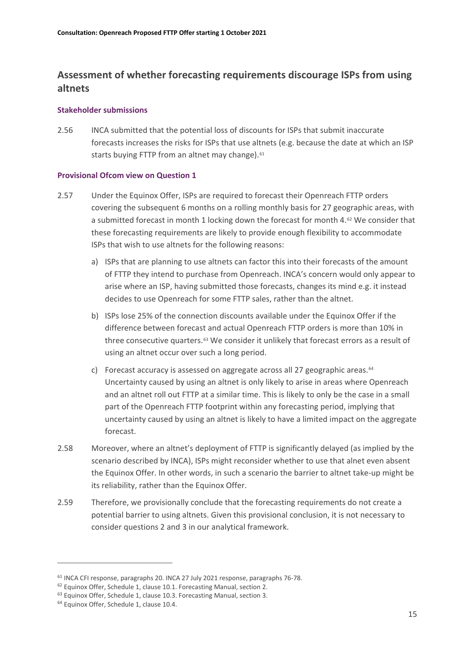## **Assessment of whether forecasting requirements discourage ISPs from using altnets**

#### **Stakeholder submissions**

2.56 INCA submitted that the potential loss of discounts for ISPs that submit inaccurate forecasts increases the risks for ISPs that use altnets (e.g. because the date at which an ISP starts buying FTTP from an altnet may change).<sup>[61](#page-16-0)</sup>

#### **Provisional Ofcom view on Question 1**

- 2.57 Under the Equinox Offer, ISPs are required to forecast their Openreach FTTP orders covering the subsequent 6 months on a rolling monthly basis for 27 geographic areas, with a submitted forecast in month 1 locking down the forecast for month 4.[62](#page-16-1) We consider that these forecasting requirements are likely to provide enough flexibility to accommodate ISPs that wish to use altnets for the following reasons:
	- a) ISPs that are planning to use altnets can factor this into their forecasts of the amount of FTTP they intend to purchase from Openreach. INCA's concern would only appear to arise where an ISP, having submitted those forecasts, changes its mind e.g. it instead decides to use Openreach for some FTTP sales, rather than the altnet.
	- b) ISPs lose 25% of the connection discounts available under the Equinox Offer if the difference between forecast and actual Openreach FTTP orders is more than 10% in three consecutive quarters.<sup>[63](#page-16-2)</sup> We consider it unlikely that forecast errors as a result of using an altnet occur over such a long period.
	- c) Forecast accuracy is assessed on aggregate across all 27 geographic areas.<sup>[64](#page-16-3)</sup> Uncertainty caused by using an altnet is only likely to arise in areas where Openreach and an altnet roll out FTTP at a similar time. This is likely to only be the case in a small part of the Openreach FTTP footprint within any forecasting period, implying that uncertainty caused by using an altnet is likely to have a limited impact on the aggregate forecast.
- 2.58 Moreover, where an altnet's deployment of FTTP is significantly delayed (as implied by the scenario described by INCA), ISPs might reconsider whether to use that alnet even absent the Equinox Offer. In other words, in such a scenario the barrier to altnet take-up might be its reliability, rather than the Equinox Offer.
- 2.59 Therefore, we provisionally conclude that the forecasting requirements do not create a potential barrier to using altnets. Given this provisional conclusion, it is not necessary to consider questions 2 and 3 in our analytical framework.

<span id="page-16-0"></span><sup>61</sup> INCA CFI response, paragraphs 20. INCA 27 July 2021 response, paragraphs 76-78.

<span id="page-16-1"></span><sup>&</sup>lt;sup>62</sup> Equinox Offer, Schedule 1, clause 10.1. Forecasting Manual, section 2.

<span id="page-16-2"></span><sup>63</sup> Equinox Offer, Schedule 1, clause 10.3. Forecasting Manual, section 3.

<span id="page-16-3"></span><sup>&</sup>lt;sup>64</sup> Equinox Offer, Schedule 1, clause 10.4.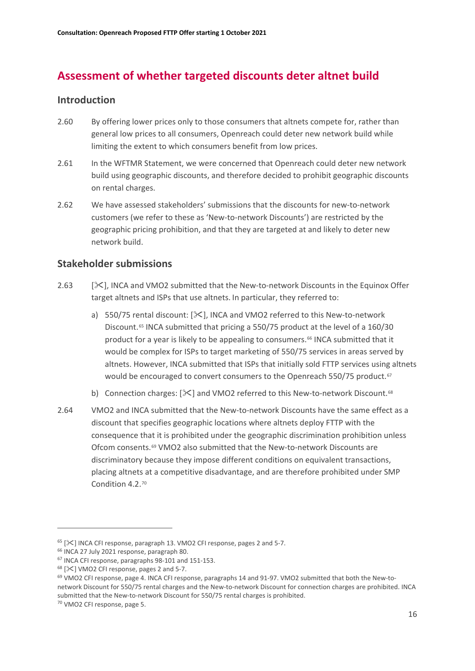# **Assessment of whether targeted discounts deter altnet build**

### **Introduction**

- 2.60 By offering lower prices only to those consumers that altnets compete for, rather than general low prices to all consumers, Openreach could deter new network build while limiting the extent to which consumers benefit from low prices.
- 2.61 In the WFTMR Statement, we were concerned that Openreach could deter new network build using geographic discounts, and therefore decided to prohibit geographic discounts on rental charges.
- 2.62 We have assessed stakeholders' submissions that the discounts for new-to-network customers (we refer to these as 'New-to-network Discounts') are restricted by the geographic pricing prohibition, and that they are targeted at and likely to deter new network build.

### **Stakeholder submissions**

- 2.63 [ $\ge$ ]. INCA and VMO2 submitted that the New-to-network Discounts in the Equinox Offer target altnets and ISPs that use altnets. In particular, they referred to:
	- a) 550/75 rental discount:  $[\&]$ , INCA and VMO2 referred to this New-to-network Discount.<sup>[65](#page-17-0)</sup> INCA submitted that pricing a 550/75 product at the level of a 160/30 product for a year is likely to be appealing to consumers.[66](#page-17-1) INCA submitted that it would be complex for ISPs to target marketing of 550/75 services in areas served by altnets. However, INCA submitted that ISPs that initially sold FTTP services using altnets would be encouraged to convert consumers to the Openreach 550/75 product.<sup>[67](#page-17-2)</sup>
	- b) Connection charges:  $[\&]$  and VMO2 referred to this New-to-network Discount.<sup>[68](#page-17-3)</sup>
- 2.64 VMO2 and INCA submitted that the New-to-network Discounts have the same effect as a discount that specifies geographic locations where altnets deploy FTTP with the consequence that it is prohibited under the geographic discrimination prohibition unless Ofcom consents.[69](#page-17-4) VMO2 also submitted that the New-to-network Discounts are discriminatory because they impose different conditions on equivalent transactions, placing altnets at a competitive disadvantage, and are therefore prohibited under SMP Condition 4.2.[70](#page-17-5)

<span id="page-17-0"></span> $65$  [ $\mathbb{X}$ ] INCA CFI response, paragraph 13. VMO2 CFI response, pages 2 and 5-7.

<span id="page-17-1"></span><sup>66</sup> INCA 27 July 2021 response, paragraph 80.

<span id="page-17-2"></span><sup>67</sup> INCA CFI response, paragraphs 98-101 and 151-153.

<span id="page-17-3"></span> $68$  [ $\mathsf{\times}$ ] VMO2 CFI response, pages 2 and 5-7.

<span id="page-17-5"></span><span id="page-17-4"></span><sup>&</sup>lt;sup>69</sup> VMO2 CFI response, page 4. INCA CFI response, paragraphs 14 and 91-97. VMO2 submitted that both the New-tonetwork Discount for 550/75 rental charges and the New-to-network Discount for connection charges are prohibited. INCA submitted that the New-to-network Discount for 550/75 rental charges is prohibited.<br><sup>70</sup> VMO2 CFI response, page 5.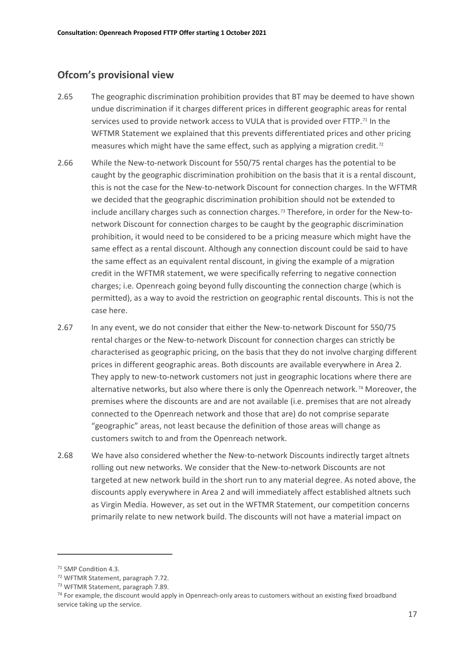#### **Ofcom's provisional view**

- 2.65 The geographic discrimination prohibition provides that BT may be deemed to have shown undue discrimination if it charges different prices in different geographic areas for rental services used to provide network access to VULA that is provided over FTTP.<sup>[71](#page-18-0)</sup> In the WFTMR Statement we explained that this prevents differentiated prices and other pricing measures which might have the same effect, such as applying a migration credit.<sup>[72](#page-18-1)</sup>
- 2.66 While the New-to-network Discount for 550/75 rental charges has the potential to be caught by the geographic discrimination prohibition on the basis that it is a rental discount, this is not the case for the New-to-network Discount for connection charges. In the WFTMR we decided that the geographic discrimination prohibition should not be extended to include ancillary charges such as connection charges.[73](#page-18-2) Therefore, in order for the New-tonetwork Discount for connection charges to be caught by the geographic discrimination prohibition, it would need to be considered to be a pricing measure which might have the same effect as a rental discount. Although any connection discount could be said to have the same effect as an equivalent rental discount, in giving the example of a migration credit in the WFTMR statement, we were specifically referring to negative connection charges; i.e. Openreach going beyond fully discounting the connection charge (which is permitted), as a way to avoid the restriction on geographic rental discounts. This is not the case here.
- 2.67 In any event, we do not consider that either the New-to-network Discount for 550/75 rental charges or the New-to-network Discount for connection charges can strictly be characterised as geographic pricing, on the basis that they do not involve charging different prices in different geographic areas. Both discounts are available everywhere in Area 2. They apply to new-to-network customers not just in geographic locations where there are alternative networks, but also where there is only the Openreach network.[74](#page-18-3) Moreover, the premises where the discounts are and are not available (i.e. premises that are not already connected to the Openreach network and those that are) do not comprise separate "geographic" areas, not least because the definition of those areas will change as customers switch to and from the Openreach network.
- 2.68 We have also considered whether the New-to-network Discounts indirectly target altnets rolling out new networks. We consider that the New-to-network Discounts are not targeted at new network build in the short run to any material degree. As noted above, the discounts apply everywhere in Area 2 and will immediately affect established altnets such as Virgin Media. However, as set out in the WFTMR Statement, our competition concerns primarily relate to new network build. The discounts will not have a material impact on

<span id="page-18-0"></span><sup>71</sup> SMP Condition 4.3.

<span id="page-18-3"></span>

<span id="page-18-2"></span><span id="page-18-1"></span><sup>&</sup>lt;sup>72</sup> WFTMR Statement, paragraph 7.72.<br><sup>73</sup> WFTMR Statement, paragraph 7.89.<br><sup>74</sup> For example, the discount would apply in Openreach-only areas to customers without an existing fixed broadband service taking up the service.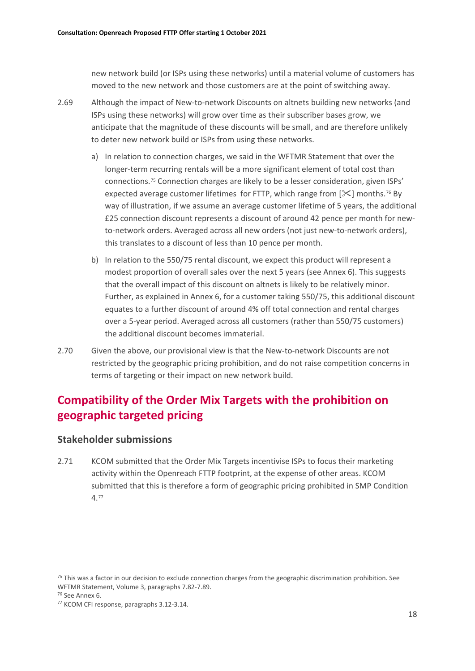new network build (or ISPs using these networks) until a material volume of customers has moved to the new network and those customers are at the point of switching away.

- 2.69 Although the impact of New-to-network Discounts on altnets building new networks (and ISPs using these networks) will grow over time as their subscriber bases grow, we anticipate that the magnitude of these discounts will be small, and are therefore unlikely to deter new network build or ISPs from using these networks.
	- a) In relation to connection charges, we said in the WFTMR Statement that over the longer-term recurring rentals will be a more significant element of total cost than connections.[75](#page-19-0) Connection charges are likely to be a lesser consideration, given ISPs' expected average customer lifetimes for FTTP, which range from  $[\mathcal{K}]$  months.<sup>[76](#page-19-1)</sup> By way of illustration, if we assume an average customer lifetime of 5 years, the additional £25 connection discount represents a discount of around 42 pence per month for newto-network orders. Averaged across all new orders (not just new-to-network orders), this translates to a discount of less than 10 pence per month.
	- b) In relation to the 550/75 rental discount, we expect this product will represent a modest proportion of overall sales over the next 5 years (see Annex 6). This suggests that the overall impact of this discount on altnets is likely to be relatively minor. Further, as explained in Annex 6, for a customer taking 550/75, this additional discount equates to a further discount of around 4% off total connection and rental charges over a 5-year period. Averaged across all customers (rather than 550/75 customers) the additional discount becomes immaterial.
- 2.70 Given the above, our provisional view is that the New-to-network Discounts are not restricted by the geographic pricing prohibition, and do not raise competition concerns in terms of targeting or their impact on new network build.

# **Compatibility of the Order Mix Targets with the prohibition on geographic targeted pricing**

### **Stakeholder submissions**

2.71 KCOM submitted that the Order Mix Targets incentivise ISPs to focus their marketing activity within the Openreach FTTP footprint, at the expense of other areas. KCOM submitted that this is therefore a form of geographic pricing prohibited in SMP Condition 4.[77](#page-19-2)

<span id="page-19-0"></span> $75$  This was a factor in our decision to exclude connection charges from the geographic discrimination prohibition. See WFTMR Statement, Volume 3, paragraphs 7.82-7.89.

<span id="page-19-1"></span><sup>76</sup> See Annex 6.

<span id="page-19-2"></span><sup>77</sup> KCOM CFI response, paragraphs 3.12-3.14.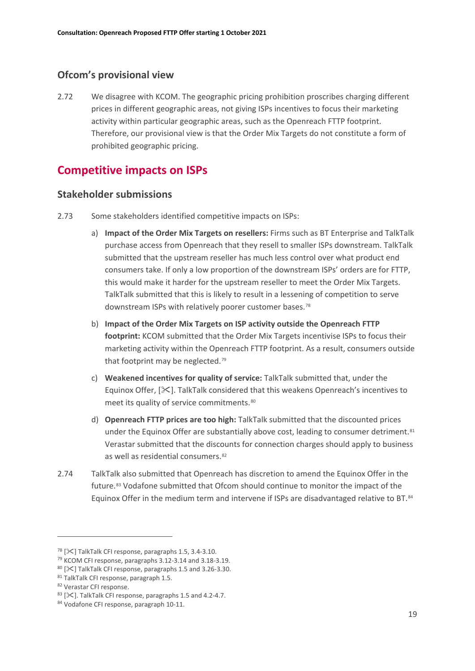## **Ofcom's provisional view**

2.72 We disagree with KCOM. The geographic pricing prohibition proscribes charging different prices in different geographic areas, not giving ISPs incentives to focus their marketing activity within particular geographic areas, such as the Openreach FTTP footprint. Therefore, our provisional view is that the Order Mix Targets do not constitute a form of prohibited geographic pricing.

## **Competitive impacts on ISPs**

#### **Stakeholder submissions**

- 2.73 Some stakeholders identified competitive impacts on ISPs:
	- a) **Impact of the Order Mix Targets on resellers:** Firms such as BT Enterprise and TalkTalk purchase access from Openreach that they resell to smaller ISPs downstream. TalkTalk submitted that the upstream reseller has much less control over what product end consumers take. If only a low proportion of the downstream ISPs' orders are for FTTP, this would make it harder for the upstream reseller to meet the Order Mix Targets. TalkTalk submitted that this is likely to result in a lessening of competition to serve downstream ISPs with relatively poorer customer bases.[78](#page-20-0)
	- b) **Impact of the Order Mix Targets on ISP activity outside the Openreach FTTP footprint:** KCOM submitted that the Order Mix Targets incentivise ISPs to focus their marketing activity within the Openreach FTTP footprint. As a result, consumers outside that footprint may be neglected.<sup>[79](#page-20-1)</sup>
	- c) **Weakened incentives for quality of service:** TalkTalk submitted that, under the Equinox Offer,  $[\<]$ . TalkTalk considered that this weakens Openreach's incentives to meet its quality of service commitments.<sup>[80](#page-20-2)</sup>
	- d) **Openreach FTTP prices are too high:** TalkTalk submitted that the discounted prices under the Equinox Offer are substantially above cost, leading to consumer detriment.<sup>[81](#page-20-3)</sup> Verastar submitted that the discounts for connection charges should apply to business as well as residential consumers.<sup>[82](#page-20-4)</sup>
- 2.74 TalkTalk also submitted that Openreach has discretion to amend the Equinox Offer in the future.[83](#page-20-5) Vodafone submitted that Ofcom should continue to monitor the impact of the Equinox Offer in the medium term and intervene if ISPs are disadvantaged relative to BT.[84](#page-20-6)

<span id="page-20-0"></span> $78$  [ $\ll$ ] TalkTalk CFI response, paragraphs 1.5, 3.4-3.10.

<span id="page-20-1"></span><sup>79</sup> KCOM CFI response, paragraphs 3.12-3.14 and 3.18-3.19.

<span id="page-20-2"></span> $80$  [ $\angle$ ] TalkTalk CFI response, paragraphs 1.5 and 3.26-3.30.

<span id="page-20-3"></span><sup>81</sup> TalkTalk CFI response, paragraph 1.5.

<span id="page-20-4"></span><sup>82</sup> Verastar CFI response.

<span id="page-20-5"></span><sup>83 [</sup> $\mathcal{K}$ ]. TalkTalk CFI response, paragraphs 1.5 and 4.2-4.7.

<span id="page-20-6"></span><sup>84</sup> Vodafone CFI response, paragraph 10-11.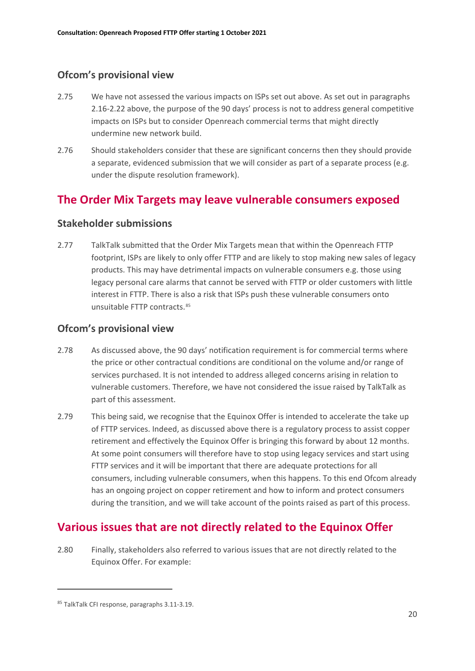## **Ofcom's provisional view**

- 2.75 We have not assessed the various impacts on ISPs set out above. As set out in paragraphs 2.16-2.22 above, the purpose of the 90 days' process is not to address general competitive impacts on ISPs but to consider Openreach commercial terms that might directly undermine new network build.
- 2.76 Should stakeholders consider that these are significant concerns then they should provide a separate, evidenced submission that we will consider as part of a separate process (e.g. under the dispute resolution framework).

## **The Order Mix Targets may leave vulnerable consumers exposed**

### **Stakeholder submissions**

2.77 TalkTalk submitted that the Order Mix Targets mean that within the Openreach FTTP footprint, ISPs are likely to only offer FTTP and are likely to stop making new sales of legacy products. This may have detrimental impacts on vulnerable consumers e.g. those using legacy personal care alarms that cannot be served with FTTP or older customers with little interest in FTTP. There is also a risk that ISPs push these vulnerable consumers onto unsuitable FTTP contracts.[85](#page-21-0)

### **Ofcom's provisional view**

- 2.78 As discussed above, the 90 days' notification requirement is for commercial terms where the price or other contractual conditions are conditional on the volume and/or range of services purchased. It is not intended to address alleged concerns arising in relation to vulnerable customers. Therefore, we have not considered the issue raised by TalkTalk as part of this assessment.
- 2.79 This being said, we recognise that the Equinox Offer is intended to accelerate the take up of FTTP services. Indeed, as discussed above there is a regulatory process to assist copper retirement and effectively the Equinox Offer is bringing this forward by about 12 months. At some point consumers will therefore have to stop using legacy services and start using FTTP services and it will be important that there are adequate protections for all consumers, including vulnerable consumers, when this happens. To this end Ofcom already has an ongoing project on copper retirement and how to inform and protect consumers during the transition, and we will take account of the points raised as part of this process.

# **Various issues that are not directly related to the Equinox Offer**

2.80 Finally, stakeholders also referred to various issues that are not directly related to the Equinox Offer. For example:

<span id="page-21-0"></span><sup>85</sup> TalkTalk CFI response, paragraphs 3.11-3.19.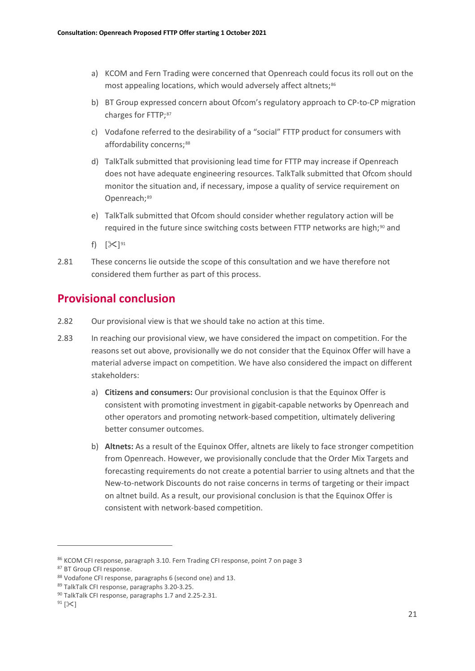- a) KCOM and Fern Trading were concerned that Openreach could focus its roll out on the most appealing locations, which would adversely affect altnets;<sup>[86](#page-22-0)</sup>
- b) BT Group expressed concern about Ofcom's regulatory approach to CP-to-CP migration charges for FTTP;[87](#page-22-1)
- c) Vodafone referred to the desirability of a "social" FTTP product for consumers with affordability concerns: [88](#page-22-2)
- d) TalkTalk submitted that provisioning lead time for FTTP may increase if Openreach does not have adequate engineering resources. TalkTalk submitted that Ofcom should monitor the situation and, if necessary, impose a quality of service requirement on Openreach;<sup>[89](#page-22-3)</sup>
- e) TalkTalk submitted that Ofcom should consider whether regulatory action will be required in the future since switching costs between FTTP networks are high;<sup>[90](#page-22-4)</sup> and
- f)  $[\&]^{91}$  $[\&]^{91}$  $[\&]^{91}$
- 2.81 These concerns lie outside the scope of this consultation and we have therefore not considered them further as part of this process.

## **Provisional conclusion**

- 2.82 Our provisional view is that we should take no action at this time.
- 2.83 In reaching our provisional view, we have considered the impact on competition. For the reasons set out above, provisionally we do not consider that the Equinox Offer will have a material adverse impact on competition. We have also considered the impact on different stakeholders:
	- a) **Citizens and consumers:** Our provisional conclusion is that the Equinox Offer is consistent with promoting investment in gigabit-capable networks by Openreach and other operators and promoting network-based competition, ultimately delivering better consumer outcomes.
	- b) **Altnets:** As a result of the Equinox Offer, altnets are likely to face stronger competition from Openreach. However, we provisionally conclude that the Order Mix Targets and forecasting requirements do not create a potential barrier to using altnets and that the New-to-network Discounts do not raise concerns in terms of targeting or their impact on altnet build. As a result, our provisional conclusion is that the Equinox Offer is consistent with network-based competition.

<span id="page-22-0"></span><sup>86</sup> KCOM CFI response, paragraph 3.10. Fern Trading CFI response, point 7 on page 3

<span id="page-22-1"></span><sup>87</sup> BT Group CFI response.

<span id="page-22-2"></span><sup>88</sup> Vodafone CFI response, paragraphs 6 (second one) and 13.

<span id="page-22-3"></span><sup>89</sup> TalkTalk CFI response, paragraphs 3.20-3.25.

<span id="page-22-4"></span><sup>90</sup> TalkTalk CFI response, paragraphs 1.7 and 2.25-2.31.

<span id="page-22-5"></span> $91$  [ $\ge$ ]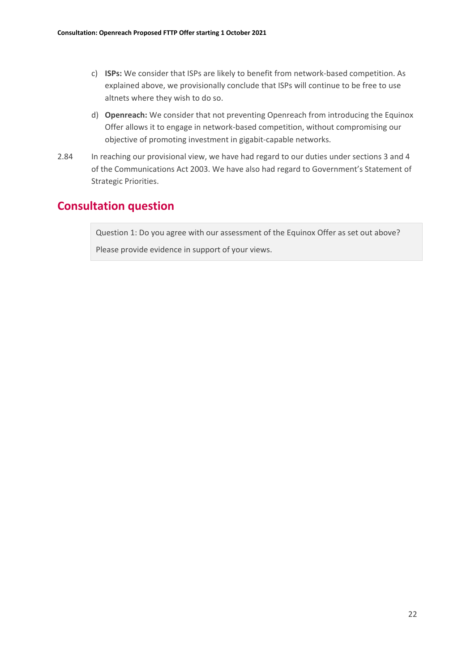- c) **ISPs:** We consider that ISPs are likely to benefit from network-based competition. As explained above, we provisionally conclude that ISPs will continue to be free to use altnets where they wish to do so.
- d) **Openreach:** We consider that not preventing Openreach from introducing the Equinox Offer allows it to engage in network-based competition, without compromising our objective of promoting investment in gigabit-capable networks.
- 2.84 In reaching our provisional view, we have had regard to our duties under sections 3 and 4 of the Communications Act 2003. We have also had regard to Government's Statement of Strategic Priorities.

## **Consultation question**

Question 1: Do you agree with our assessment of the Equinox Offer as set out above?

Please provide evidence in support of your views.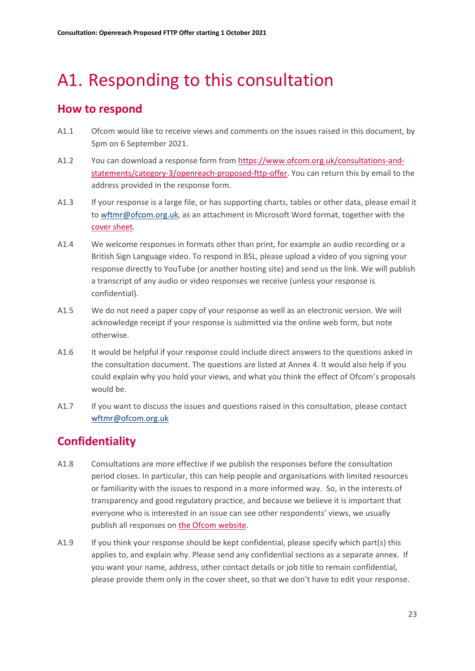# <span id="page-24-0"></span>A1. Responding to this consultation

## **How to respond**

- A1.1 Ofcom would like to receive views and comments on the issues raised in this document, by 5pm on 6 September 2021.
- A1.2 You can download a response form from [https://www.ofcom.org.uk/consultations-and](https://www.ofcom.org.uk/consultations-and-statements/category-3/openreach-proposed-fttp-offer)[statements/category-3/openreach-proposed-fttp-offer.](https://www.ofcom.org.uk/consultations-and-statements/category-3/openreach-proposed-fttp-offer) You can return this by email to the address provided in the response form.
- A1.3 If your response is a large file, or has supporting charts, tables or other data, please email it to [wftmr@ofcom.org.uk,](mailto:wftmr@ofcom.org.uk) as an attachment in Microsoft Word format, together with the [cover sheet.](https://www.ofcom.org.uk/consultations-and-statements/consultation-response-coversheet)
- A1.4 We welcome responses in formats other than print, for example an audio recording or a British Sign Language video. To respond in BSL, please upload a video of you signing your response directly to YouTube (or another hosting site) and send us the link. We will publish a transcript of any audio or video responses we receive (unless your response is confidential).
- A1.5 We do not need a paper copy of your response as well as an electronic version. We will acknowledge receipt if your response is submitted via the online web form, but note otherwise.
- A1.6 It would be helpful if your response could include direct answers to the questions asked in the consultation document. The questions are listed at Annex 4. It would also help if you could explain why you hold your views, and what you think the effect of Ofcom's proposals would be.
- A1.7 If you want to discuss the issues and questions raised in this consultation, please contact [wftmr@ofcom.org.uk](mailto:wftmr@ofcom.org.uk)

# **Confidentiality**

- A1.8 Consultations are more effective if we publish the responses before the consultation period closes. In particular, this can help people and organisations with limited resources or familiarity with the issues to respond in a more informed way. So, in the interests of transparency and good regulatory practice, and because we believe it is important that everyone who is interested in an issue can see other respondents' views, we usually publish all responses on [the Ofcom](http://www.ofcom.org.uk/) website.
- A1.9 If you think your response should be kept confidential, please specify which part(s) this applies to, and explain why. Please send any confidential sections as a separate annex. If you want your name, address, other contact details or job title to remain confidential, please provide them only in the cover sheet, so that we don't have to edit your response.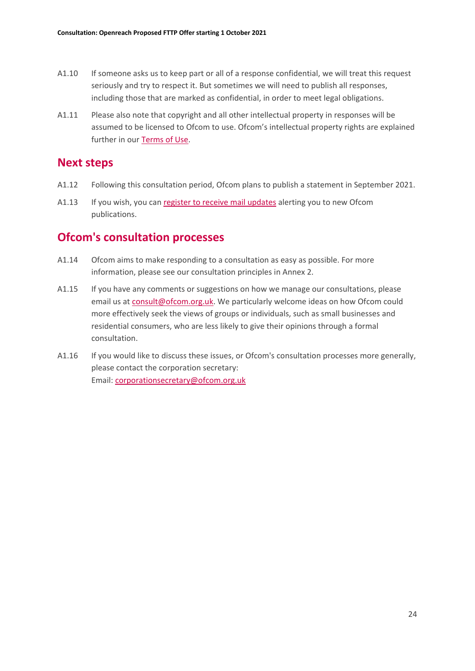- A1.10 If someone asks us to keep part or all of a response confidential, we will treat this request seriously and try to respect it. But sometimes we will need to publish all responses, including those that are marked as confidential, in order to meet legal obligations.
- A1.11 Please also note that copyright and all other intellectual property in responses will be assumed to be licensed to Ofcom to use. Ofcom's intellectual property rights are explained further in our [Terms of Use.](https://www.ofcom.org.uk/about-ofcom/website/terms-of-use)

## **Next steps**

- A1.12 Following this consultation period, Ofcom plans to publish a statement in September 2021.
- A1.13 If you wish, you can [register to receive mail updates](https://www.ofcom.org.uk/about-ofcom/latest/email-updates) alerting you to new Ofcom publications.

## **Ofcom's consultation processes**

- A1.14 Ofcom aims to make responding to a consultation as easy as possible. For more information, please see our consultation principles in Annex 2.
- A1.15 If you have any comments or suggestions on how we manage our consultations, please email us a[t consult@ofcom.org.uk.](mailto:consult@ofcom.org.uk) We particularly welcome ideas on how Ofcom could more effectively seek the views of groups or individuals, such as small businesses and residential consumers, who are less likely to give their opinions through a formal consultation.
- A1.16 If you would like to discuss these issues, or Ofcom's consultation processes more generally, please contact the corporation secretary: Email: [corporationsecretary@ofcom.org.uk](mailto:corporationsecretary@ofcom.org.uk)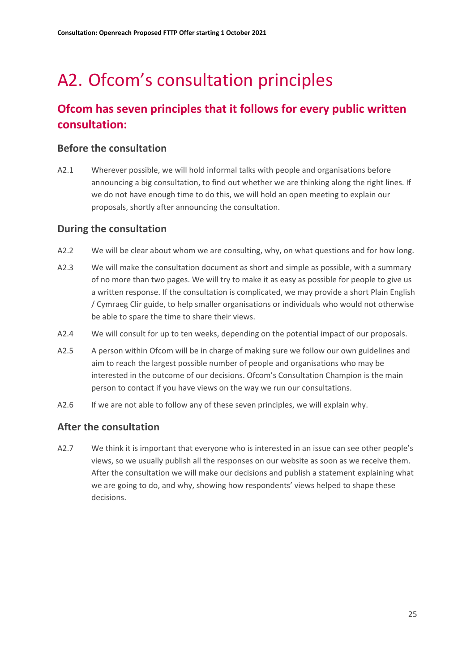# <span id="page-26-0"></span>A2. Ofcom's consultation principles

# **Ofcom has seven principles that it follows for every public written consultation:**

### **Before the consultation**

A2.1 Wherever possible, we will hold informal talks with people and organisations before announcing a big consultation, to find out whether we are thinking along the right lines. If we do not have enough time to do this, we will hold an open meeting to explain our proposals, shortly after announcing the consultation.

### **During the consultation**

- A2.2 We will be clear about whom we are consulting, why, on what questions and for how long.
- A2.3 We will make the consultation document as short and simple as possible, with a summary of no more than two pages. We will try to make it as easy as possible for people to give us a written response. If the consultation is complicated, we may provide a short Plain English / Cymraeg Clir guide, to help smaller organisations or individuals who would not otherwise be able to spare the time to share their views.
- A2.4 We will consult for up to ten weeks, depending on the potential impact of our proposals.
- A2.5 A person within Ofcom will be in charge of making sure we follow our own guidelines and aim to reach the largest possible number of people and organisations who may be interested in the outcome of our decisions. Ofcom's Consultation Champion is the main person to contact if you have views on the way we run our consultations.
- A2.6 If we are not able to follow any of these seven principles, we will explain why.

### **After the consultation**

A2.7 We think it is important that everyone who is interested in an issue can see other people's views, so we usually publish all the responses on our website as soon as we receive them. After the consultation we will make our decisions and publish a statement explaining what we are going to do, and why, showing how respondents' views helped to shape these decisions.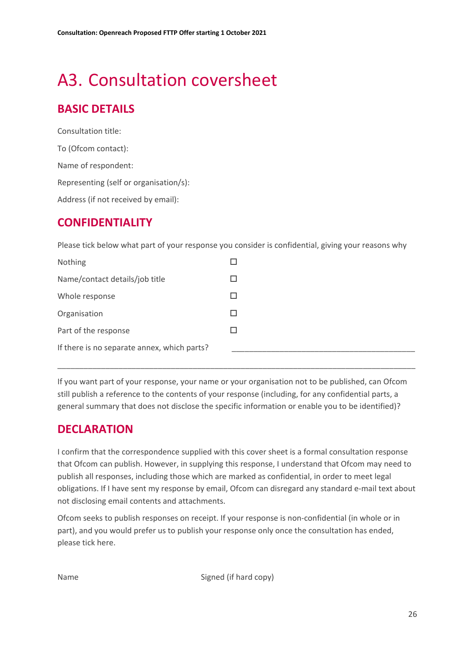# <span id="page-27-0"></span>A3. Consultation coversheet

# **BASIC DETAILS**

Consultation title: To (Ofcom contact): Name of respondent: Representing (self or organisation/s): Address (if not received by email):

## **CONFIDENTIALITY**

Please tick below what part of your response you consider is confidential, giving your reasons why

| Nothing                                     |  |
|---------------------------------------------|--|
| Name/contact details/job title              |  |
| Whole response                              |  |
| Organisation                                |  |
| Part of the response                        |  |
| If there is no separate annex, which parts? |  |

If you want part of your response, your name or your organisation not to be published, can Ofcom still publish a reference to the contents of your response (including, for any confidential parts, a general summary that does not disclose the specific information or enable you to be identified)?

\_\_\_\_\_\_\_\_\_\_\_\_\_\_\_\_\_\_\_\_\_\_\_\_\_\_\_\_\_\_\_\_\_\_\_\_\_\_\_\_\_\_\_\_\_\_\_\_\_\_\_\_\_\_\_\_\_\_\_\_\_\_\_\_\_\_\_\_\_\_\_\_\_\_\_\_\_\_\_\_\_\_

# **DECLARATION**

I confirm that the correspondence supplied with this cover sheet is a formal consultation response that Ofcom can publish. However, in supplying this response, I understand that Ofcom may need to publish all responses, including those which are marked as confidential, in order to meet legal obligations. If I have sent my response by email, Ofcom can disregard any standard e-mail text about not disclosing email contents and attachments.

Ofcom seeks to publish responses on receipt. If your response is non-confidential (in whole or in part), and you would prefer us to publish your response only once the consultation has ended, please tick here.

Name Signed (if hard copy)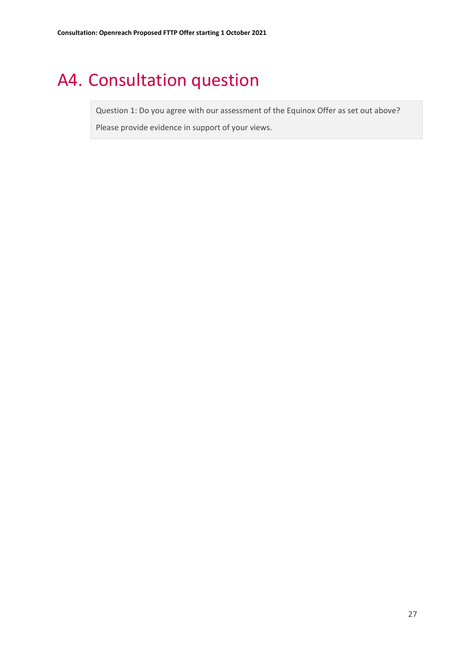# <span id="page-28-0"></span>A4. Consultation question

Question 1: Do you agree with our assessment of the Equinox Offer as set out above?

Please provide evidence in support of your views.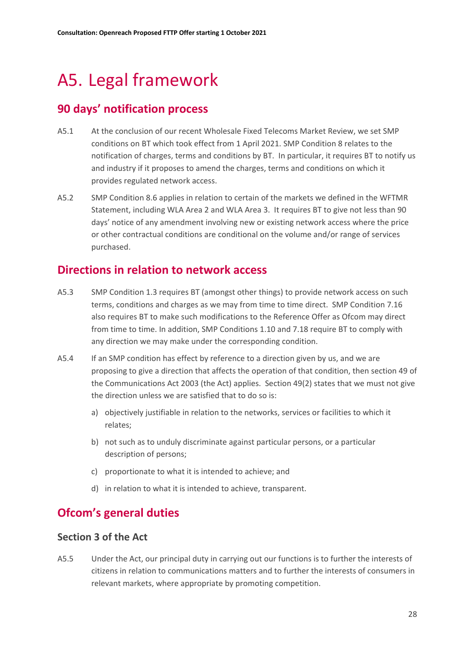# <span id="page-29-0"></span>A5. Legal framework

# **90 days' notification process**

- A5.1 At the conclusion of our recent Wholesale Fixed Telecoms Market Review, we set SMP conditions on BT which took effect from 1 April 2021. SMP Condition 8 relates to the notification of charges, terms and conditions by BT. In particular, it requires BT to notify us and industry if it proposes to amend the charges, terms and conditions on which it provides regulated network access.
- A5.2 SMP Condition 8.6 applies in relation to certain of the markets we defined in the WFTMR Statement, including WLA Area 2 and WLA Area 3. It requires BT to give not less than 90 days' notice of any amendment involving new or existing network access where the price or other contractual conditions are conditional on the volume and/or range of services purchased.

## **Directions in relation to network access**

- A5.3 SMP Condition 1.3 requires BT (amongst other things) to provide network access on such terms, conditions and charges as we may from time to time direct. SMP Condition 7.16 also requires BT to make such modifications to the Reference Offer as Ofcom may direct from time to time. In addition, SMP Conditions 1.10 and 7.18 require BT to comply with any direction we may make under the corresponding condition.
- A5.4 If an SMP condition has effect by reference to a direction given by us, and we are proposing to give a direction that affects the operation of that condition, then section 49 of the Communications Act 2003 (the Act) applies. Section 49(2) states that we must not give the direction unless we are satisfied that to do so is:
	- a) objectively justifiable in relation to the networks, services or facilities to which it relates;
	- b) not such as to unduly discriminate against particular persons, or a particular description of persons;
	- c) proportionate to what it is intended to achieve; and
	- d) in relation to what it is intended to achieve, transparent.

# **Ofcom's general duties**

### **Section 3 of the Act**

A5.5 Under the Act, our principal duty in carrying out our functions is to further the interests of citizens in relation to communications matters and to further the interests of consumers in relevant markets, where appropriate by promoting competition.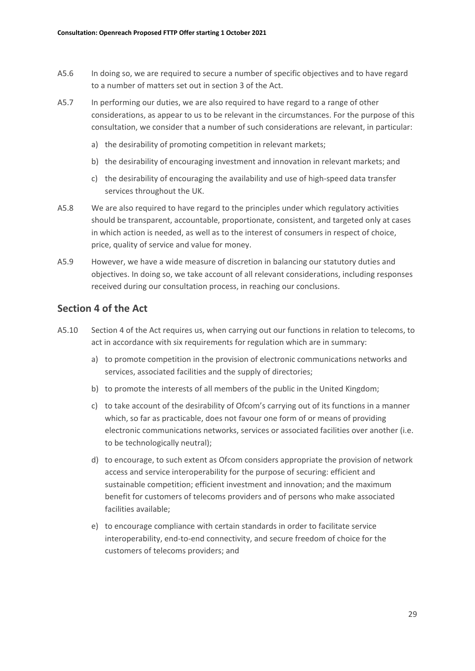- A5.6 In doing so, we are required to secure a number of specific objectives and to have regard to a number of matters set out in section 3 of the Act.
- A5.7 In performing our duties, we are also required to have regard to a range of other considerations, as appear to us to be relevant in the circumstances. For the purpose of this consultation, we consider that a number of such considerations are relevant, in particular:
	- a) the desirability of promoting competition in relevant markets;
	- b) the desirability of encouraging investment and innovation in relevant markets; and
	- c) the desirability of encouraging the availability and use of high-speed data transfer services throughout the UK.
- A5.8 We are also required to have regard to the principles under which regulatory activities should be transparent, accountable, proportionate, consistent, and targeted only at cases in which action is needed, as well as to the interest of consumers in respect of choice, price, quality of service and value for money.
- A5.9 However, we have a wide measure of discretion in balancing our statutory duties and objectives. In doing so, we take account of all relevant considerations, including responses received during our consultation process, in reaching our conclusions.

#### **Section 4 of the Act**

- A5.10 Section 4 of the Act requires us, when carrying out our functions in relation to telecoms, to act in accordance with six requirements for regulation which are in summary:
	- a) to promote competition in the provision of electronic communications networks and services, associated facilities and the supply of directories;
	- b) to promote the interests of all members of the public in the United Kingdom;
	- c) to take account of the desirability of Ofcom's carrying out of its functions in a manner which, so far as practicable, does not favour one form of or means of providing electronic communications networks, services or associated facilities over another (i.e. to be technologically neutral);
	- d) to encourage, to such extent as Ofcom considers appropriate the provision of network access and service interoperability for the purpose of securing: efficient and sustainable competition; efficient investment and innovation; and the maximum benefit for customers of telecoms providers and of persons who make associated facilities available;
	- e) to encourage compliance with certain standards in order to facilitate service interoperability, end-to-end connectivity, and secure freedom of choice for the customers of telecoms providers; and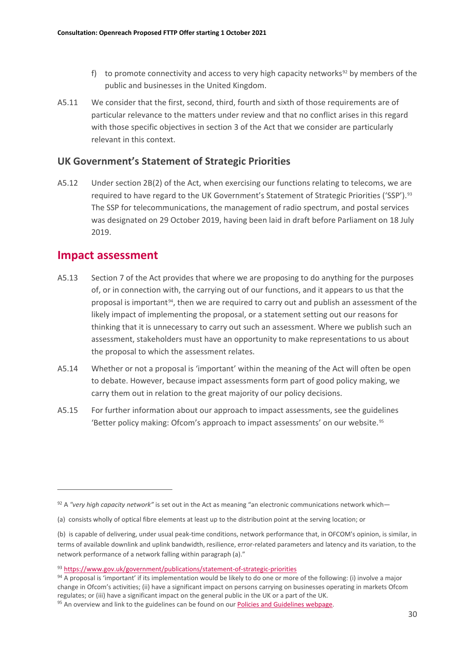- f) to promote connectivity and access to very high capacity networks<sup>[92](#page-31-0)</sup> by members of the public and businesses in the United Kingdom.
- A5.11 We consider that the first, second, third, fourth and sixth of those requirements are of particular relevance to the matters under review and that no conflict arises in this regard with those specific objectives in section 3 of the Act that we consider are particularly relevant in this context.

### **UK Government's Statement of Strategic Priorities**

A5.12 Under section 2B(2) of the Act, when exercising our functions relating to telecoms, we are required to have regard to the UK Government's Statement of Strategic Priorities ('SSP').<sup>[93](#page-31-1)</sup> The SSP for telecommunications, the management of radio spectrum, and postal services was designated on 29 October 2019, having been laid in draft before Parliament on 18 July 2019.

## **Impact assessment**

- A5.13 Section 7 of the Act provides that where we are proposing to do anything for the purposes of, or in connection with, the carrying out of our functions, and it appears to us that the proposal is important<sup>[94](#page-31-2)</sup>, then we are required to carry out and publish an assessment of the likely impact of implementing the proposal, or a statement setting out our reasons for thinking that it is unnecessary to carry out such an assessment. Where we publish such an assessment, stakeholders must have an opportunity to make representations to us about the proposal to which the assessment relates.
- A5.14 Whether or not a proposal is 'important' within the meaning of the Act will often be open to debate. However, because impact assessments form part of good policy making, we carry them out in relation to the great majority of our policy decisions.
- A5.15 For further information about our approach to impact assessments, see the guidelines 'Better policy making: Ofcom's approach to impact assessments' on our website.<sup>[95](#page-31-3)</sup>

<span id="page-31-0"></span><sup>92</sup> A *"very high capacity network"* is set out in the Act as meaning "an electronic communications network which—

<sup>(</sup>a) consists wholly of optical fibre elements at least up to the distribution point at the serving location; or

<sup>(</sup>b) is capable of delivering, under usual peak-time conditions, network performance that, in OFCOM's opinion, is similar, in terms of available downlink and uplink bandwidth, resilience, error-related parameters and latency and its variation, to the network performance of a network falling within paragraph (a)."

<span id="page-31-1"></span><sup>93</sup> <https://www.gov.uk/government/publications/statement-of-strategic-priorities>

<span id="page-31-2"></span><sup>94</sup> A proposal is 'important' if its implementation would be likely to do one or more of the following: (i) involve a major change in Ofcom's activities; (ii) have a significant impact on persons carrying on businesses operating in markets Ofcom regulates; or (iii) have a significant impact on the general public in the UK or a part of the UK.

<span id="page-31-3"></span> $95$  An overview and link to the guidelines can be found on ou[r Policies and Guidelines webpage.](https://www.ofcom.org.uk/about-ofcom/policies-and-guidelines)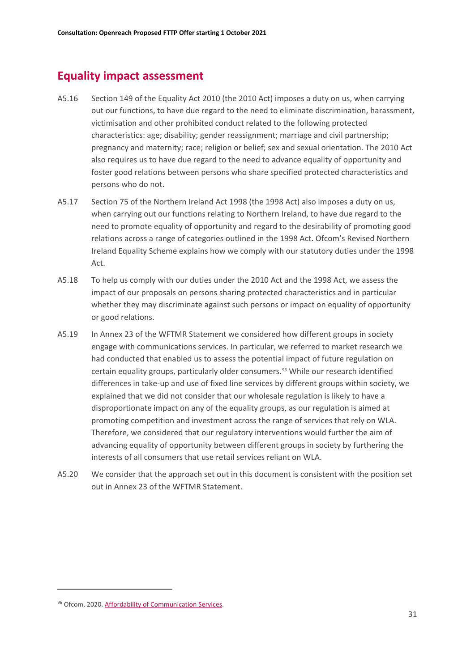## **Equality impact assessment**

- A5.16 Section 149 of the Equality Act 2010 (the 2010 Act) imposes a duty on us, when carrying out our functions, to have due regard to the need to eliminate discrimination, harassment, victimisation and other prohibited conduct related to the following protected characteristics: age; disability; gender reassignment; marriage and civil partnership; pregnancy and maternity; race; religion or belief; sex and sexual orientation. The 2010 Act also requires us to have due regard to the need to advance equality of opportunity and foster good relations between persons who share specified protected characteristics and persons who do not.
- A5.17 Section 75 of the Northern Ireland Act 1998 (the 1998 Act) also imposes a duty on us, when carrying out our functions relating to Northern Ireland, to have due regard to the need to promote equality of opportunity and regard to the desirability of promoting good relations across a range of categories outlined in the 1998 Act. Ofcom's Revised Northern Ireland Equality Scheme explains how we comply with our statutory duties under the 1998 Act.
- A5.18 To help us comply with our duties under the 2010 Act and the 1998 Act, we assess the impact of our proposals on persons sharing protected characteristics and in particular whether they may discriminate against such persons or impact on equality of opportunity or good relations.
- A5.19 In Annex 23 of the WFTMR Statement we considered how different groups in society engage with communications services. In particular, we referred to market research we had conducted that enabled us to assess the potential impact of future regulation on certain equality groups, particularly older consumers.[96](#page-32-0) While our research identified differences in take-up and use of fixed line services by different groups within society, we explained that we did not consider that our wholesale regulation is likely to have a disproportionate impact on any of the equality groups, as our regulation is aimed at promoting competition and investment across the range of services that rely on WLA. Therefore, we considered that our regulatory interventions would further the aim of advancing equality of opportunity between different groups in society by furthering the interests of all consumers that use retail services reliant on WLA.
- A5.20 We consider that the approach set out in this document is consistent with the position set out in Annex 23 of the WFTMR Statement.

<span id="page-32-0"></span><sup>96</sup> Ofcom, 2020. Affordability of Communication Services.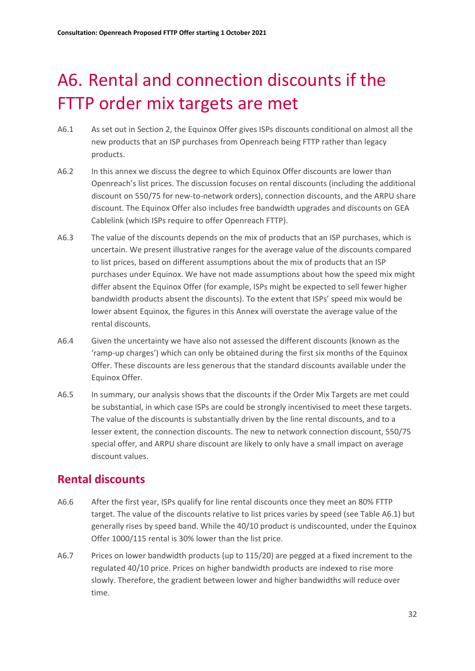# <span id="page-33-0"></span>A6. Rental and connection discounts if the FTTP order mix targets are met

- A6.1 As set out in Section 2, the Equinox Offer gives ISPs discounts conditional on almost all the new products that an ISP purchases from Openreach being FTTP rather than legacy products.
- A6.2 In this annex we discuss the degree to which Equinox Offer discounts are lower than Openreach's list prices. The discussion focuses on rental discounts (including the additional discount on 550/75 for new-to-network orders), connection discounts, and the ARPU share discount. The Equinox Offer also includes free bandwidth upgrades and discounts on GEA Cablelink (which ISPs require to offer Openreach FTTP).
- A6.3 The value of the discounts depends on the mix of products that an ISP purchases, which is uncertain. We present illustrative ranges for the average value of the discounts compared to list prices, based on different assumptions about the mix of products that an ISP purchases under Equinox. We have not made assumptions about how the speed mix might differ absent the Equinox Offer (for example, ISPs might be expected to sell fewer higher bandwidth products absent the discounts). To the extent that ISPs' speed mix would be lower absent Equinox, the figures in this Annex will overstate the average value of the rental discounts.
- A6.4 Given the uncertainty we have also not assessed the different discounts (known as the 'ramp-up charges') which can only be obtained during the first six months of the Equinox Offer. These discounts are less generous that the standard discounts available under the Equinox Offer.
- A6.5 In summary, our analysis shows that the discounts if the Order Mix Targets are met could be substantial, in which case ISPs are could be strongly incentivised to meet these targets. The value of the discounts is substantially driven by the line rental discounts, and to a lesser extent, the connection discounts. The new to network connection discount, 550/75 special offer, and ARPU share discount are likely to only have a small impact on average discount values.

# **Rental discounts**

- A6.6 After the first year, ISPs qualify for line rental discounts once they meet an 80% FTTP target. The value of the discounts relative to list prices varies by speed (see Table A6.1) but generally rises by speed band. While the 40/10 product is undiscounted, under the Equinox Offer 1000/115 rental is 30% lower than the list price.
- A6.7 Prices on lower bandwidth products (up to 115/20) are pegged at a fixed increment to the regulated 40/10 price. Prices on higher bandwidth products are indexed to rise more slowly. Therefore, the gradient between lower and higher bandwidths will reduce over time.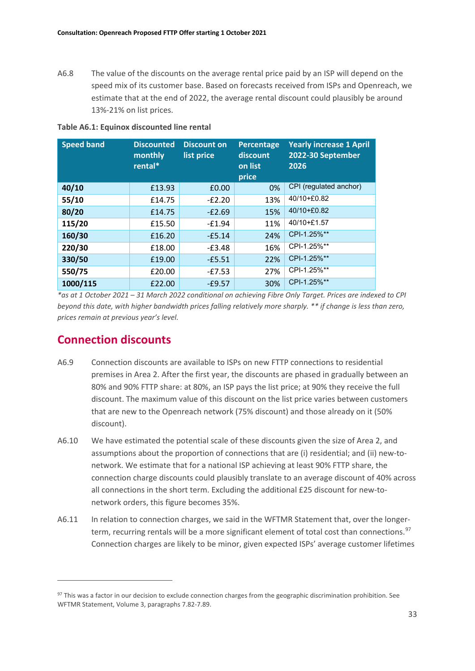A6.8 The value of the discounts on the average rental price paid by an ISP will depend on the speed mix of its customer base. Based on forecasts received from ISPs and Openreach, we estimate that at the end of 2022, the average rental discount could plausibly be around 13%-21% on list prices.

| <b>Speed band</b> | <b>Discounted</b><br>monthly<br>rental* | <b>Discount on</b><br>list price | Percentage<br>discount<br>on list<br>price | <b>Yearly increase 1 April</b><br>2022-30 September<br>2026 |
|-------------------|-----------------------------------------|----------------------------------|--------------------------------------------|-------------------------------------------------------------|
| 40/10             | £13.93                                  | £0.00                            | 0%                                         | CPI (regulated anchor)                                      |
| 55/10             | £14.75                                  | $-E2.20$                         | 13%                                        | 40/10+£0.82                                                 |
| 80/20             | £14.75                                  | $-E2.69$                         | 15%                                        | 40/10+£0.82                                                 |
| 115/20            | £15.50                                  | $-£1.94$                         | 11%                                        | 40/10+£1.57                                                 |
| 160/30            | £16.20                                  | $-E5.14$                         | 24%                                        | CPI-1.25%**                                                 |
| 220/30            | £18.00                                  | $-E3.48$                         | 16%                                        | CPI-1.25%**                                                 |
| 330/50            | £19.00                                  | $-£5.51$                         | 22%                                        | CPI-1.25%**                                                 |
| 550/75            | £20.00                                  | $-E7.53$                         | 27%                                        | CPI-1.25%**                                                 |
| 1000/115          | £22.00                                  | $-£9.57$                         | 30%                                        | CPI-1.25%**                                                 |

**Table A6.1: Equinox discounted line rental** 

*\*as at 1 October 2021 – 31 March 2022 conditional on achieving Fibre Only Target. Prices are indexed to CPI beyond this date, with higher bandwidth prices falling relatively more sharply. \*\* if change is less than zero, prices remain at previous year's level.* 

## **Connection discounts**

- A6.9 Connection discounts are available to ISPs on new FTTP connections to residential premises in Area 2. After the first year, the discounts are phased in gradually between an 80% and 90% FTTP share: at 80%, an ISP pays the list price; at 90% they receive the full discount. The maximum value of this discount on the list price varies between customers that are new to the Openreach network (75% discount) and those already on it (50% discount).
- A6.10 We have estimated the potential scale of these discounts given the size of Area 2, and assumptions about the proportion of connections that are (i) residential; and (ii) new-tonetwork. We estimate that for a national ISP achieving at least 90% FTTP share, the connection charge discounts could plausibly translate to an average discount of 40% across all connections in the short term. Excluding the additional £25 discount for new-tonetwork orders, this figure becomes 35%.
- A6.11 In relation to connection charges, we said in the WFTMR Statement that, over the longer-term, recurring rentals will be a more significant element of total cost than connections.<sup>[97](#page-34-0)</sup> Connection charges are likely to be minor, given expected ISPs' average customer lifetimes

<span id="page-34-0"></span><sup>&</sup>lt;sup>97</sup> This was a factor in our decision to exclude connection charges from the geographic discrimination prohibition. See WFTMR Statement, Volume 3, paragraphs 7.82-7.89.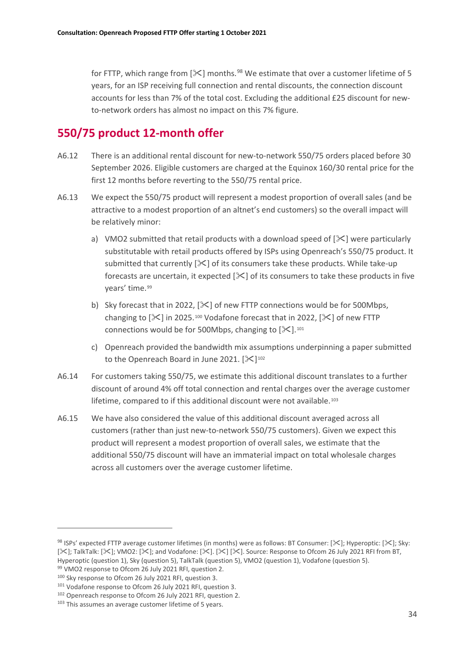for FTTP, which range from  $[\frac{1}{2}]$  months.<sup>[98](#page-35-0)</sup> We estimate that over a customer lifetime of 5 years, for an ISP receiving full connection and rental discounts, the connection discount accounts for less than 7% of the total cost. Excluding the additional £25 discount for newto-network orders has almost no impact on this 7% figure.

## **550/75 product 12-month offer**

- A6.12 There is an additional rental discount for new-to-network 550/75 orders placed before 30 September 2026. Eligible customers are charged at the Equinox 160/30 rental price for the first 12 months before reverting to the 550/75 rental price.
- A6.13 We expect the 550/75 product will represent a modest proportion of overall sales (and be attractive to a modest proportion of an altnet's end customers) so the overall impact will be relatively minor:
	- a) VMO2 submitted that retail products with a download speed of  $[\times]$  were particularly substitutable with retail products offered by ISPs using Openreach's 550/75 product. It submitted that currently  $[\mathcal{K}]$  of its consumers take these products. While take-up forecasts are uncertain, it expected  $[\&0]$  of its consumers to take these products in five years' time.<sup>[99](#page-35-1)</sup>
	- b) Sky forecast that in 2022,  $[\times]$  of new FTTP connections would be for 500Mbps, changing to  $[\mathcal{K}]$  in 2025.<sup>[100](#page-35-2)</sup> Vodafone forecast that in 2022,  $[\mathcal{K}]$  of new FTTP connections would be for 500Mbps, changing to  $[\times]$ .<sup>[101](#page-35-3)</sup>
	- c) Openreach provided the bandwidth mix assumptions underpinning a paper submitted to the Openreach Board in June 2021.  $[\mathbb{X}]^{102}$  $[\mathbb{X}]^{102}$  $[\mathbb{X}]^{102}$
- A6.14 For customers taking 550/75, we estimate this additional discount translates to a further discount of around 4% off total connection and rental charges over the average customer lifetime, compared to if this additional discount were not available.<sup>[103](#page-35-5)</sup>
- A6.15 We have also considered the value of this additional discount averaged across all customers (rather than just new-to-network 550/75 customers). Given we expect this product will represent a modest proportion of overall sales, we estimate that the additional 550/75 discount will have an immaterial impact on total wholesale charges across all customers over the average customer lifetime.

<span id="page-35-0"></span><sup>&</sup>lt;sup>98</sup> ISPs' expected FTTP average customer lifetimes (in months) were as follows: BT Consumer: [ $\ge$ ]; Hyperoptic: [ $\ge$ ]; Sky: [ $\geq$ ]; TalkTalk: [ $\geq$ ]; VMO2: [ $\geq$ ]; and Vodafone: [ $\geq$ ]. [ $\geq$ ]. Source: Response to Ofcom 26 July 2021 RFI from BT, Hyperoptic (question 1), Sky (question 5), TalkTalk (question 5), VMO2 (question 1), Vodafone (question 5). 99 VMO2 response to Ofcom 26 July 2021 RFI, question 2.

<span id="page-35-2"></span><span id="page-35-1"></span><sup>100</sup> Sky response to Ofcom 26 July 2021 RFI, question 3.

<span id="page-35-3"></span><sup>101</sup> Vodafone response to Ofcom 26 July 2021 RFI, question 3.

<span id="page-35-4"></span><sup>102</sup> Openreach response to Ofcom 26 July 2021 RFI, question 2.

<span id="page-35-5"></span><sup>103</sup> This assumes an average customer lifetime of 5 years.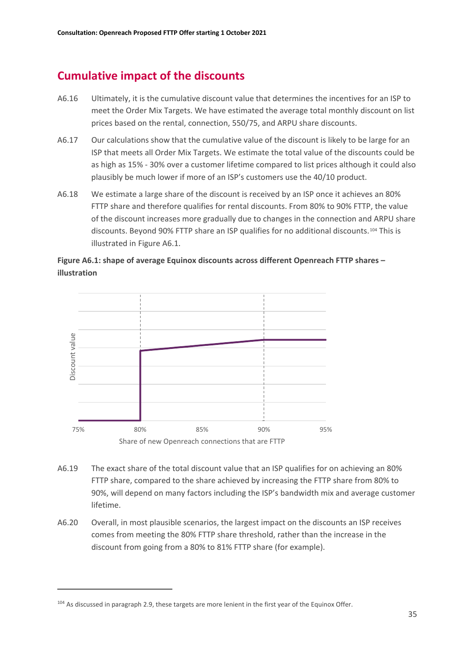## **Cumulative impact of the discounts**

- A6.16 Ultimately, it is the cumulative discount value that determines the incentives for an ISP to meet the Order Mix Targets. We have estimated the average total monthly discount on list prices based on the rental, connection, 550/75, and ARPU share discounts.
- A6.17 Our calculations show that the cumulative value of the discount is likely to be large for an ISP that meets all Order Mix Targets. We estimate the total value of the discounts could be as high as 15% - 30% over a customer lifetime compared to list prices although it could also plausibly be much lower if more of an ISP's customers use the 40/10 product.
- A6.18 We estimate a large share of the discount is received by an ISP once it achieves an 80% FTTP share and therefore qualifies for rental discounts. From 80% to 90% FTTP, the value of the discount increases more gradually due to changes in the connection and ARPU share discounts. Beyond 90% FTTP share an ISP qualifies for no additional discounts.[104](#page-36-0) This is illustrated in Figure A6.1.





- A6.19 The exact share of the total discount value that an ISP qualifies for on achieving an 80% FTTP share, compared to the share achieved by increasing the FTTP share from 80% to 90%, will depend on many factors including the ISP's bandwidth mix and average customer lifetime.
- A6.20 Overall, in most plausible scenarios, the largest impact on the discounts an ISP receives comes from meeting the 80% FTTP share threshold, rather than the increase in the discount from going from a 80% to 81% FTTP share (for example).

<span id="page-36-0"></span><sup>&</sup>lt;sup>104</sup> As discussed in paragraph 2.9, these targets are more lenient in the first year of the Equinox Offer.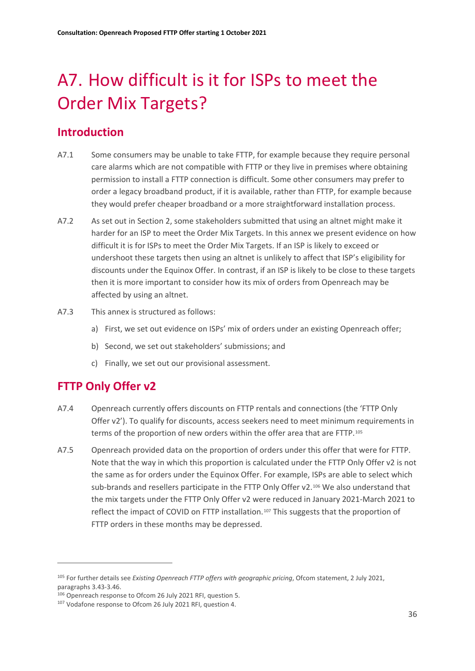# <span id="page-37-0"></span>A7. How difficult is it for ISPs to meet the Order Mix Targets?

## **Introduction**

- A7.1 Some consumers may be unable to take FTTP, for example because they require personal care alarms which are not compatible with FTTP or they live in premises where obtaining permission to install a FTTP connection is difficult. Some other consumers may prefer to order a legacy broadband product, if it is available, rather than FTTP, for example because they would prefer cheaper broadband or a more straightforward installation process.
- A7.2 As set out in Section 2, some stakeholders submitted that using an altnet might make it harder for an ISP to meet the Order Mix Targets. In this annex we present evidence on how difficult it is for ISPs to meet the Order Mix Targets. If an ISP is likely to exceed or undershoot these targets then using an altnet is unlikely to affect that ISP's eligibility for discounts under the Equinox Offer. In contrast, if an ISP is likely to be close to these targets then it is more important to consider how its mix of orders from Openreach may be affected by using an altnet.
- A7.3 This annex is structured as follows:
	- a) First, we set out evidence on ISPs' mix of orders under an existing Openreach offer;
	- b) Second, we set out stakeholders' submissions; and
	- c) Finally, we set out our provisional assessment.

## **FTTP Only Offer v2**

- A7.4 Openreach currently offers discounts on FTTP rentals and connections (the 'FTTP Only Offer v2'). To qualify for discounts, access seekers need to meet minimum requirements in terms of the proportion of new orders within the offer area that are FTTP.[105](#page-37-1)
- A7.5 Openreach provided data on the proportion of orders under this offer that were for FTTP. Note that the way in which this proportion is calculated under the FTTP Only Offer v2 is not the same as for orders under the Equinox Offer. For example, ISPs are able to select which sub-brands and resellers participate in the FTTP Only Offer v2.<sup>[106](#page-37-2)</sup> We also understand that the mix targets under the FTTP Only Offer v2 were reduced in January 2021-March 2021 to reflect the impact of COVID on FTTP installation.[107](#page-37-3) This suggests that the proportion of FTTP orders in these months may be depressed.

<span id="page-37-1"></span><sup>105</sup> For further details see *Existing Openreach FTTP offers with geographic pricing*, Ofcom statement, 2 July 2021, paragraphs 3.43-3.46.

<span id="page-37-2"></span><sup>106</sup> Openreach response to Ofcom 26 July 2021 RFI, question 5.

<span id="page-37-3"></span><sup>107</sup> Vodafone response to Ofcom 26 July 2021 RFI, question 4.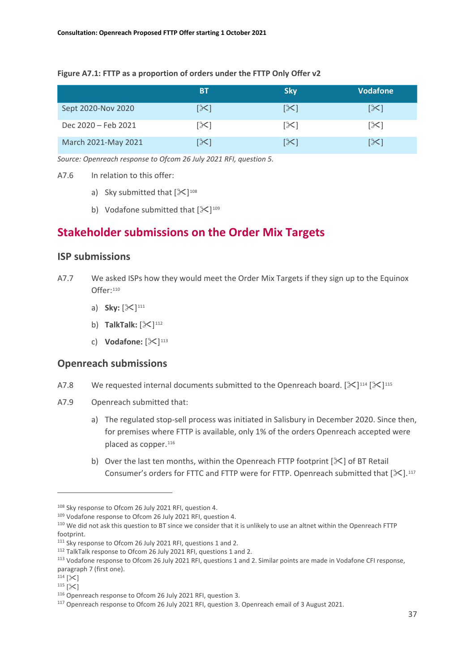#### **Figure A7.1: FTTP as a proportion of orders under the FTTP Only Offer v2**

|                     | <b>BT</b>       | <b>Sky</b>            | <b>Vodafone</b> |
|---------------------|-----------------|-----------------------|-----------------|
| Sept 2020-Nov 2020  | [≻]             | $ \mathcal{X} $       | [≻]             |
| Dec 2020 - Feb 2021 | [≻              | $\left[\times\right]$ | $ \mathcal{X} $ |
| March 2021-May 2021 | $ \mathcal{X} $ | $ \mathcal{X} $       | [╳]             |

*Source: Openreach response to Ofcom 26 July 2021 RFI, question 5.*

- A7.6 In relation to this offer:
	- a) Sky submitted that  $[\frac{108}{108}]$  $[\frac{108}{108}]$  $[\frac{108}{108}]$
	- b) Vodafone submitted that  $[\frac{100}{109}]$  $[\frac{100}{109}]$  $[\frac{100}{109}]$

## **Stakeholder submissions on the Order Mix Targets**

#### **ISP submissions**

- A7.7 We asked ISPs how they would meet the Order Mix Targets if they sign up to the Equinox Offer:[110](#page-38-2)
	- a) **Sky:**  $[\times]^{111}$  $[\times]^{111}$  $[\times]^{111}$
	- b) **TalkTalk:**  $[\times]^{112}$  $[\times]^{112}$  $[\times]^{112}$
	- c) **Vodafone:**  $[\&]^{113}$  $[\&]^{113}$  $[\&]^{113}$

#### **Openreach submissions**

- A7.8 We requested internal documents submitted to the Openreach board.  $[\&]^{114} [\&]^{115}$  $[\&]^{114} [\&]^{115}$  $[\&]^{114} [\&]^{115}$  $[\&]^{114} [\&]^{115}$  $[\&]^{114} [\&]^{115}$
- A7.9 Openreach submitted that:
	- a) The regulated stop-sell process was initiated in Salisbury in December 2020. Since then, for premises where FTTP is available, only 1% of the orders Openreach accepted were placed as copper.<sup>[116](#page-38-8)</sup>
	- b) Over the last ten months, within the Openreach FTTP footprint  $[\frac{1}{2}]$  of BT Retail Consumer's orders for FTTC and FTTP were for FTTP. Openreach submitted that  $[\mathcal{K}].^{117}$  $[\mathcal{K}].^{117}$  $[\mathcal{K}].^{117}$

<span id="page-38-0"></span><sup>108</sup> Sky response to Ofcom 26 July 2021 RFI, question 4.

<span id="page-38-1"></span><sup>109</sup> Vodafone response to Ofcom 26 July 2021 RFI, question 4.

<span id="page-38-2"></span><sup>110</sup> We did not ask this question to BT since we consider that it is unlikely to use an altnet within the Openreach FTTP footprint.

<span id="page-38-3"></span><sup>111</sup> Sky response to Ofcom 26 July 2021 RFI, questions 1 and 2.

<span id="page-38-4"></span><sup>112</sup> TalkTalk response to Ofcom 26 July 2021 RFI, questions 1 and 2.

<span id="page-38-5"></span><sup>113</sup> Vodafone response to Ofcom 26 July 2021 RFI, questions 1 and 2. Similar points are made in Vodafone CFI response, paragraph 7 (first one).

<span id="page-38-6"></span> $114$  [ $\&$ ]

<span id="page-38-7"></span> $115$   $\left[\times\right]$ 

<span id="page-38-8"></span><sup>116</sup> Openreach response to Ofcom 26 July 2021 RFI, question 3.

<span id="page-38-9"></span><sup>117</sup> Openreach response to Ofcom 26 July 2021 RFI, question 3. Openreach email of 3 August 2021.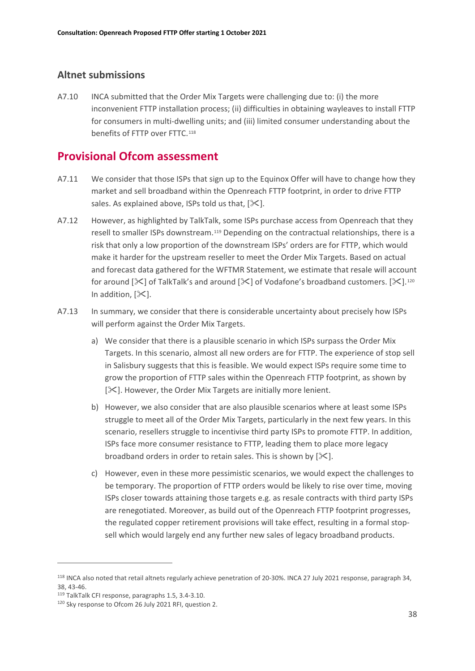### **Altnet submissions**

A7.10 INCA submitted that the Order Mix Targets were challenging due to: (i) the more inconvenient FTTP installation process; (ii) difficulties in obtaining wayleaves to install FTTP for consumers in multi-dwelling units; and (iii) limited consumer understanding about the benefits of FTTP over FTTC.[118](#page-39-0)

## **Provisional Ofcom assessment**

- A7.11 We consider that those ISPs that sign up to the Equinox Offer will have to change how they market and sell broadband within the Openreach FTTP footprint, in order to drive FTTP sales. As explained above, ISPs told us that,  $[\times]$ .
- A7.12 However, as highlighted by TalkTalk, some ISPs purchase access from Openreach that they resell to smaller ISPs downstream.[119](#page-39-1) Depending on the contractual relationships, there is a risk that only a low proportion of the downstream ISPs' orders are for FTTP, which would make it harder for the upstream reseller to meet the Order Mix Targets. Based on actual and forecast data gathered for the WFTMR Statement, we estimate that resale will account for around  $[\times]$  of TalkTalk's and around  $[\times]$  of Vodafone's broadband customers.  $[\times]$ .<sup>[120](#page-39-2)</sup> In addition,  $[\times]$ .
- A7.13 In summary, we consider that there is considerable uncertainty about precisely how ISPs will perform against the Order Mix Targets.
	- a) We consider that there is a plausible scenario in which ISPs surpass the Order Mix Targets. In this scenario, almost all new orders are for FTTP. The experience of stop sell in Salisbury suggests that this is feasible. We would expect ISPs require some time to grow the proportion of FTTP sales within the Openreach FTTP footprint, as shown by  $[\mathcal{K}]$ . However, the Order Mix Targets are initially more lenient.
	- b) However, we also consider that are also plausible scenarios where at least some ISPs struggle to meet all of the Order Mix Targets, particularly in the next few years. In this scenario, resellers struggle to incentivise third party ISPs to promote FTTP. In addition, ISPs face more consumer resistance to FTTP, leading them to place more legacy broadband orders in order to retain sales. This is shown by  $[\mathcal{K}].$
	- c) However, even in these more pessimistic scenarios, we would expect the challenges to be temporary. The proportion of FTTP orders would be likely to rise over time, moving ISPs closer towards attaining those targets e.g. as resale contracts with third party ISPs are renegotiated. Moreover, as build out of the Openreach FTTP footprint progresses, the regulated copper retirement provisions will take effect, resulting in a formal stopsell which would largely end any further new sales of legacy broadband products.

<span id="page-39-0"></span><sup>118</sup> INCA also noted that retail altnets regularly achieve penetration of 20-30%. INCA 27 July 2021 response, paragraph 34, 38, 43-46.

<span id="page-39-1"></span><sup>119</sup> TalkTalk CFI response, paragraphs 1.5, 3.4-3.10.

<span id="page-39-2"></span><sup>120</sup> Sky response to Ofcom 26 July 2021 RFI, question 2.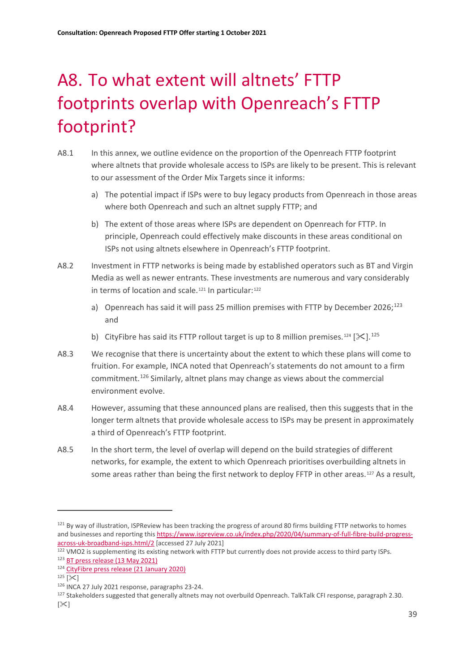# <span id="page-40-0"></span>A8. To what extent will altnets' FTTP footprints overlap with Openreach's FTTP footprint?

- A8.1 In this annex, we outline evidence on the proportion of the Openreach FTTP footprint where altnets that provide wholesale access to ISPs are likely to be present. This is relevant to our assessment of the Order Mix Targets since it informs:
	- a) The potential impact if ISPs were to buy legacy products from Openreach in those areas where both Openreach and such an altnet supply FTTP; and
	- b) The extent of those areas where ISPs are dependent on Openreach for FTTP. In principle, Openreach could effectively make discounts in these areas conditional on ISPs not using altnets elsewhere in Openreach's FTTP footprint.
- A8.2 Investment in FTTP networks is being made by established operators such as BT and Virgin Media as well as newer entrants. These investments are numerous and vary considerably in terms of location and scale.<sup>[121](#page-40-1)</sup> In particular:<sup>[122](#page-40-2)</sup>
	- a) Openreach has said it will pass 25 million premises with FTTP by December 2026;<sup>[123](#page-40-3)</sup> and
	- b) CityFibre has said its FTTP rollout target is up to 8 million premises.<sup>[124](#page-40-4)</sup> [ $\ll$ ].<sup>[125](#page-40-5)</sup>
- A8.3 We recognise that there is uncertainty about the extent to which these plans will come to fruition. For example, INCA noted that Openreach's statements do not amount to a firm commitment.<sup>[126](#page-40-6)</sup> Similarly, altnet plans may change as views about the commercial environment evolve.
- A8.4 However, assuming that these announced plans are realised, then this suggests that in the longer term altnets that provide wholesale access to ISPs may be present in approximately a third of Openreach's FTTP footprint.
- A8.5 In the short term, the level of overlap will depend on the build strategies of different networks, for example, the extent to which Openreach prioritises overbuilding altnets in some areas rather than being the first network to deploy FFTP in other areas.<sup>[127](#page-40-7)</sup> As a result,

<span id="page-40-1"></span><sup>&</sup>lt;sup>121</sup> By way of illustration, ISPReview has been tracking the progress of around 80 firms building FTTP networks to homes and businesses and reporting thi[s https://www.ispreview.co.uk/index.php/2020/04/summary-of-full-fibre-build-progress](https://www.ispreview.co.uk/index.php/2020/04/summary-of-full-fibre-build-progress-across-uk-broadband-isps.html/2)[across-uk-broadband-isps.html/2](https://www.ispreview.co.uk/index.php/2020/04/summary-of-full-fibre-build-progress-across-uk-broadband-isps.html/2) [accessed 27 July 2021]

<span id="page-40-2"></span><sup>122</sup> VMO2 is supplementing its existing network with FTTP but currently does not provide access to third party ISPs.

<span id="page-40-3"></span><sup>123</sup> [BT press release \(13 May 2021\)](https://newsroom.bt.com/bt-to-increase-and-accelerate-fttp-build-to-25m-premises-by-the-end-of-2026)

<span id="page-40-4"></span><sup>124</sup> [CityFibre press release \(21 January 2020\)](https://www.cityfibre.com/news/cityfibre-acquires-fibrenation-adds-talktalk-strategic-customer-increasing-rollout-plans-pass-8-million-premises/)

<span id="page-40-5"></span> $125$  [ $\&$ ]

<span id="page-40-6"></span><sup>126</sup> INCA 27 July 2021 response, paragraphs 23-24.

<span id="page-40-7"></span><sup>&</sup>lt;sup>127</sup> Stakeholders suggested that generally altnets may not overbuild Openreach. TalkTalk CFI response, paragraph 2.30.

 $[\times]$